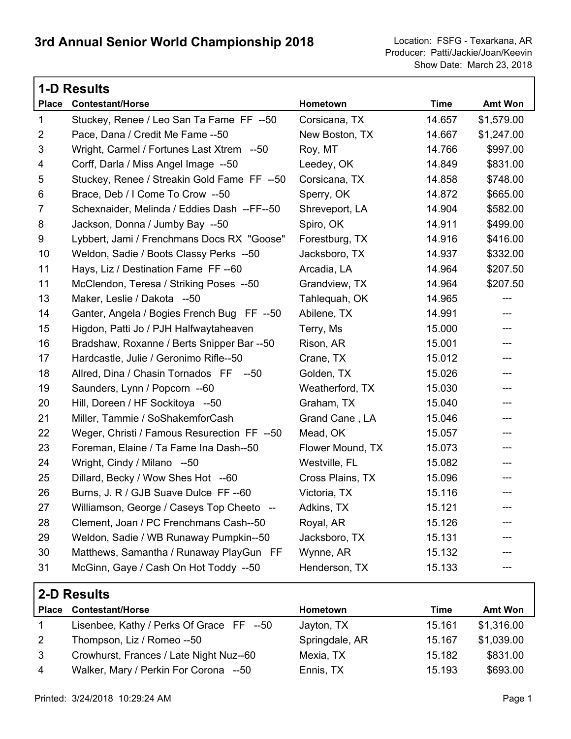|                | <b>1-D Results</b>                          |                  |             |                            |  |
|----------------|---------------------------------------------|------------------|-------------|----------------------------|--|
| <b>Place</b>   | <b>Contestant/Horse</b>                     | Hometown         | <b>Time</b> | <b>Amt Won</b>             |  |
| 1              | Stuckey, Renee / Leo San Ta Fame FF --50    | Corsicana, TX    | 14.657      | \$1,579.00                 |  |
| $\overline{2}$ | Pace, Dana / Credit Me Fame -- 50           | New Boston, TX   | 14.667      | \$1,247.00                 |  |
| 3              | Wright, Carmel / Fortunes Last Xtrem --50   | Roy, MT          | 14.766      | \$997.00                   |  |
| 4              | Corff, Darla / Miss Angel Image --50        | Leedey, OK       | 14.849      | \$831.00                   |  |
| 5              | Stuckey, Renee / Streakin Gold Fame FF --50 | Corsicana, TX    | 14.858      | \$748.00                   |  |
| 6              | Brace, Deb / I Come To Crow --50            | Sperry, OK       | 14.872      | \$665.00                   |  |
| $\overline{7}$ | Schexnaider, Melinda / Eddies Dash --FF--50 | Shreveport, LA   | 14.904      | \$582.00                   |  |
| 8              | Jackson, Donna / Jumby Bay --50             | Spiro, OK        | 14.911      | \$499.00                   |  |
| 9              | Lybbert, Jami / Frenchmans Docs RX "Goose"  | Forestburg, TX   | 14.916      | \$416.00                   |  |
| 10             | Weldon, Sadie / Boots Classy Perks --50     | Jacksboro, TX    | 14.937      | \$332.00                   |  |
| 11             | Hays, Liz / Destination Fame FF--60         | Arcadia, LA      | 14.964      | \$207.50                   |  |
| 11             | McClendon, Teresa / Striking Poses --50     | Grandview, TX    | 14.964      | \$207.50                   |  |
| 13             | Maker, Leslie / Dakota --50                 | Tahlequah, OK    | 14.965      | ---                        |  |
| 14             | Ganter, Angela / Bogies French Bug FF --50  | Abilene, TX      | 14.991      | ---                        |  |
| 15             | Higdon, Patti Jo / PJH Halfwaytaheaven      | Terry, Ms        | 15.000      | ---                        |  |
| 16             | Bradshaw, Roxanne / Berts Snipper Bar --50  | Rison, AR        | 15.001      | ---                        |  |
| 17             | Hardcastle, Julie / Geronimo Rifle--50      | Crane, TX        | 15.012      | ---                        |  |
| 18             | Allred, Dina / Chasin Tornados FF --50      | Golden, TX       | 15.026      | $\qquad \qquad \text{---}$ |  |
| 19             | Saunders, Lynn / Popcorn --60               | Weatherford, TX  | 15.030      | ---                        |  |
| 20             | Hill, Doreen / HF Sockitoya --50            | Graham, TX       | 15.040      | ---                        |  |
| 21             | Miller, Tammie / SoShakemforCash            | Grand Cane, LA   | 15.046      | ---                        |  |
| 22             | Weger, Christi / Famous Resurection FF --50 | Mead, OK         | 15.057      | ---                        |  |
| 23             | Foreman, Elaine / Ta Fame Ina Dash--50      | Flower Mound, TX | 15.073      | ---                        |  |
| 24             | Wright, Cindy / Milano --50                 | Westville, FL    | 15.082      | ---                        |  |
| 25             | Dillard, Becky / Wow Shes Hot --60          | Cross Plains, TX | 15.096      | ---                        |  |
| 26             | Burns, J. R / GJB Suave Dulce FF --60       | Victoria, TX     | 15.116      | ---                        |  |
| 27             | Williamson, George / Caseys Top Cheeto --   | Adkins, TX       | 15.121      |                            |  |
| 28             | Clement, Joan / PC Frenchmans Cash--50      | Royal, AR        | 15.126      |                            |  |
| 29             | Weldon, Sadie / WB Runaway Pumpkin--50      | Jacksboro, TX    | 15.131      |                            |  |
| 30             | Matthews, Samantha / Runaway PlayGun FF     | Wynne, AR        | 15.132      |                            |  |
| 31             | McGinn, Gaye / Cash On Hot Toddy --50       | Henderson, TX    | 15.133      |                            |  |

| 2-D Results  |                                          |                 |        |                |
|--------------|------------------------------------------|-----------------|--------|----------------|
| <b>Place</b> | <b>Contestant/Horse</b>                  | <b>Hometown</b> | Time   | <b>Amt Won</b> |
| $\mathbf 1$  | Lisenbee, Kathy / Perks Of Grace FF --50 | Jayton, TX      | 15.161 | \$1,316.00     |
| 2            | Thompson, Liz / Romeo --50               | Springdale, AR  | 15.167 | \$1,039.00     |
| 3            | Crowhurst, Frances / Late Night Nuz--60  | Mexia, TX       | 15.182 | \$831.00       |
| 4            | Walker, Mary / Perkin For Corona --50    | Ennis, TX       | 15.193 | \$693.00       |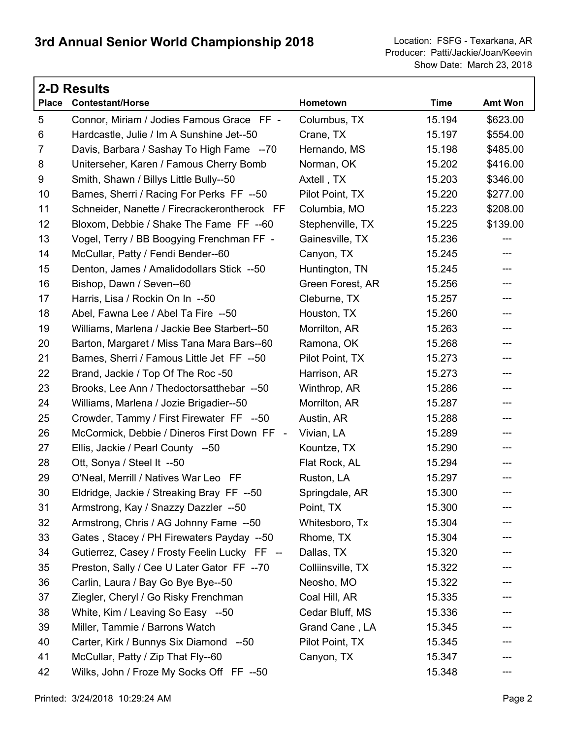|                | <b>2-D Results</b>                           |                   |             |          |
|----------------|----------------------------------------------|-------------------|-------------|----------|
| <b>Place</b>   | <b>Contestant/Horse</b>                      | Hometown          | <b>Time</b> | Amt Won  |
| 5              | Connor, Miriam / Jodies Famous Grace FF -    | Columbus, TX      | 15.194      | \$623.00 |
| 6              | Hardcastle, Julie / Im A Sunshine Jet--50    | Crane, TX         | 15.197      | \$554.00 |
| $\overline{7}$ | Davis, Barbara / Sashay To High Fame --70    | Hernando, MS      | 15.198      | \$485.00 |
| 8              | Uniterseher, Karen / Famous Cherry Bomb      | Norman, OK        | 15.202      | \$416.00 |
| 9              | Smith, Shawn / Billys Little Bully--50       | Axtell, TX        | 15.203      | \$346.00 |
| 10             | Barnes, Sherri / Racing For Perks FF --50    | Pilot Point, TX   | 15.220      | \$277.00 |
| 11             | Schneider, Nanette / Firecrackerontherock FF | Columbia, MO      | 15.223      | \$208.00 |
| 12             | Bloxom, Debbie / Shake The Fame FF --60      | Stephenville, TX  | 15.225      | \$139.00 |
| 13             | Vogel, Terry / BB Boogying Frenchman FF -    | Gainesville, TX   | 15.236      | ---      |
| 14             | McCullar, Patty / Fendi Bender--60           | Canyon, TX        | 15.245      | ---      |
| 15             | Denton, James / Amalidodollars Stick --50    | Huntington, TN    | 15.245      | ---      |
| 16             | Bishop, Dawn / Seven--60                     | Green Forest, AR  | 15.256      | ---      |
| 17             | Harris, Lisa / Rockin On In --50             | Cleburne, TX      | 15.257      | ---      |
| 18             | Abel, Fawna Lee / Abel Ta Fire --50          | Houston, TX       | 15.260      | ---      |
| 19             | Williams, Marlena / Jackie Bee Starbert--50  | Morrilton, AR     | 15.263      | ---      |
| 20             | Barton, Margaret / Miss Tana Mara Bars--60   | Ramona, OK        | 15.268      | ---      |
| 21             | Barnes, Sherri / Famous Little Jet FF --50   | Pilot Point, TX   | 15.273      | ---      |
| 22             | Brand, Jackie / Top Of The Roc -50           | Harrison, AR      | 15.273      | ---      |
| 23             | Brooks, Lee Ann / Thedoctorsatthebar --50    | Winthrop, AR      | 15.286      | ---      |
| 24             | Williams, Marlena / Jozie Brigadier--50      | Morrilton, AR     | 15.287      | ---      |
| 25             | Crowder, Tammy / First Firewater FF --50     | Austin, AR        | 15.288      | ---      |
| 26             | McCormick, Debbie / Dineros First Down FF -  | Vivian, LA        | 15.289      | ---      |
| 27             | Ellis, Jackie / Pearl County --50            | Kountze, TX       | 15.290      | ---      |
| 28             | Ott, Sonya / Steel It --50                   | Flat Rock, AL     | 15.294      | ---      |
| 29             | O'Neal, Merrill / Natives War Leo FF         | Ruston, LA        | 15.297      | ---      |
| 30             | Eldridge, Jackie / Streaking Bray FF --50    | Springdale, AR    | 15.300      | ---      |
| 31             | Armstrong, Kay / Snazzy Dazzler --50         | Point, TX         | 15.300      |          |
| 32             | Armstrong, Chris / AG Johnny Fame --50       | Whitesboro, Tx    | 15.304      |          |
| 33             | Gates, Stacey / PH Firewaters Payday --50    | Rhome, TX         | 15.304      |          |
| 34             | Gutierrez, Casey / Frosty Feelin Lucky FF -- | Dallas, TX        | 15.320      | ---      |
| 35             | Preston, Sally / Cee U Later Gator FF --70   | Colliinsville, TX | 15.322      |          |
| 36             | Carlin, Laura / Bay Go Bye Bye--50           | Neosho, MO        | 15.322      |          |
| 37             | Ziegler, Cheryl / Go Risky Frenchman         | Coal Hill, AR     | 15.335      | ---      |
| 38             | White, Kim / Leaving So Easy --50            | Cedar Bluff, MS   | 15.336      |          |
| 39             | Miller, Tammie / Barrons Watch               | Grand Cane, LA    | 15.345      |          |
| 40             | Carter, Kirk / Bunnys Six Diamond --50       | Pilot Point, TX   | 15.345      | ---      |
| 41             | McCullar, Patty / Zip That Fly--60           | Canyon, TX        | 15.347      |          |
| 42             | Wilks, John / Froze My Socks Off FF --50     |                   | 15.348      |          |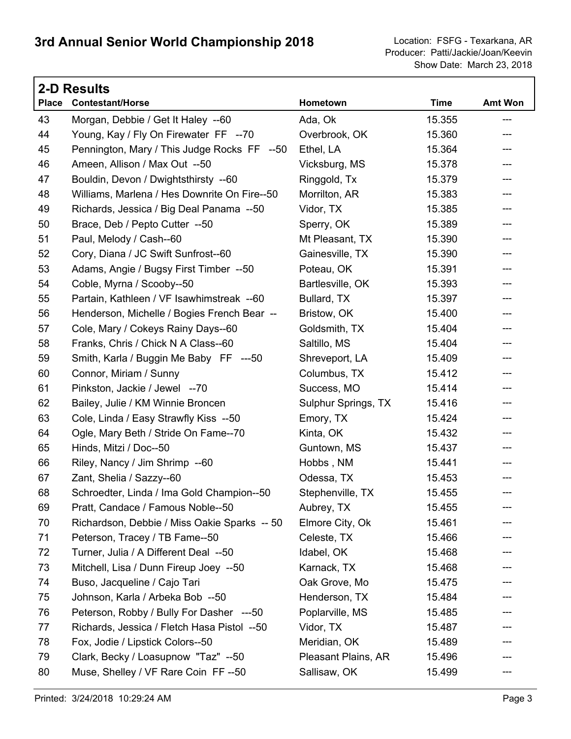Г

|              | <b>2-D Results</b>                           |                     |             |                |  |  |
|--------------|----------------------------------------------|---------------------|-------------|----------------|--|--|
| <b>Place</b> | <b>Contestant/Horse</b>                      | Hometown            | <b>Time</b> | <b>Amt Won</b> |  |  |
| 43           | Morgan, Debbie / Get It Haley --60           | Ada, Ok             | 15.355      | ---            |  |  |
| 44           | Young, Kay / Fly On Firewater FF --70        | Overbrook, OK       | 15.360      | ---            |  |  |
| 45           | Pennington, Mary / This Judge Rocks FF --50  | Ethel, LA           | 15.364      | ---            |  |  |
| 46           | Ameen, Allison / Max Out --50                | Vicksburg, MS       | 15.378      | ---            |  |  |
| 47           | Bouldin, Devon / Dwightsthirsty --60         | Ringgold, Tx        | 15.379      | ---            |  |  |
| 48           | Williams, Marlena / Hes Downrite On Fire--50 | Morrilton, AR       | 15.383      | ---            |  |  |
| 49           | Richards, Jessica / Big Deal Panama --50     | Vidor, TX           | 15.385      | ---            |  |  |
| 50           | Brace, Deb / Pepto Cutter --50               | Sperry, OK          | 15.389      | ---            |  |  |
| 51           | Paul, Melody / Cash--60                      | Mt Pleasant, TX     | 15.390      | ---            |  |  |
| 52           | Cory, Diana / JC Swift Sunfrost--60          | Gainesville, TX     | 15.390      | ---            |  |  |
| 53           | Adams, Angie / Bugsy First Timber --50       | Poteau, OK          | 15.391      | ---            |  |  |
| 54           | Coble, Myrna / Scooby--50                    | Bartlesville, OK    | 15.393      | ---            |  |  |
| 55           | Partain, Kathleen / VF Isawhimstreak --60    | Bullard, TX         | 15.397      | ---            |  |  |
| 56           | Henderson, Michelle / Bogies French Bear --  | Bristow, OK         | 15.400      | ---            |  |  |
| 57           | Cole, Mary / Cokeys Rainy Days--60           | Goldsmith, TX       | 15.404      | ---            |  |  |
| 58           | Franks, Chris / Chick N A Class--60          | Saltillo, MS        | 15.404      | ---            |  |  |
| 59           | Smith, Karla / Buggin Me Baby FF ---50       | Shreveport, LA      | 15.409      | ---            |  |  |
| 60           | Connor, Miriam / Sunny                       | Columbus, TX        | 15.412      | ---            |  |  |
| 61           | Pinkston, Jackie / Jewel --70                | Success, MO         | 15.414      | ---            |  |  |
| 62           | Bailey, Julie / KM Winnie Broncen            | Sulphur Springs, TX | 15.416      | ---            |  |  |
| 63           | Cole, Linda / Easy Strawfly Kiss --50        | Emory, TX           | 15.424      | ---            |  |  |
| 64           | Ogle, Mary Beth / Stride On Fame--70         | Kinta, OK           | 15.432      | ---            |  |  |
| 65           | Hinds, Mitzi / Doc--50                       | Guntown, MS         | 15.437      | ---            |  |  |
| 66           | Riley, Nancy / Jim Shrimp --60               | Hobbs, NM           | 15.441      | ---            |  |  |
| 67           | Zant, Shelia / Sazzy--60                     | Odessa, TX          | 15.453      | ---            |  |  |
| 68           | Schroedter, Linda / Ima Gold Champion--50    | Stephenville, TX    | 15.455      | ---            |  |  |
| 69           | Pratt, Candace / Famous Noble--50            | Aubrey, TX          | 15.455      |                |  |  |
| 70           | Richardson, Debbie / Miss Oakie Sparks -- 50 | Elmore City, Ok     | 15.461      |                |  |  |
| 71           | Peterson, Tracey / TB Fame--50               | Celeste, TX         | 15.466      |                |  |  |
| 72           | Turner, Julia / A Different Deal --50        | Idabel, OK          | 15.468      |                |  |  |
| 73           | Mitchell, Lisa / Dunn Fireup Joey --50       | Karnack, TX         | 15.468      |                |  |  |
| 74           | Buso, Jacqueline / Cajo Tari                 | Oak Grove, Mo       | 15.475      |                |  |  |
| 75           | Johnson, Karla / Arbeka Bob --50             | Henderson, TX       | 15.484      |                |  |  |
| 76           | Peterson, Robby / Bully For Dasher ---50     | Poplarville, MS     | 15.485      |                |  |  |
| 77           | Richards, Jessica / Fletch Hasa Pistol --50  | Vidor, TX           | 15.487      |                |  |  |
| 78           | Fox, Jodie / Lipstick Colors--50             | Meridian, OK        | 15.489      |                |  |  |
| 79           | Clark, Becky / Loasupnow "Taz" --50          | Pleasant Plains, AR | 15.496      |                |  |  |
| 80           | Muse, Shelley / VF Rare Coin FF -- 50        | Sallisaw, OK        | 15.499      | ---            |  |  |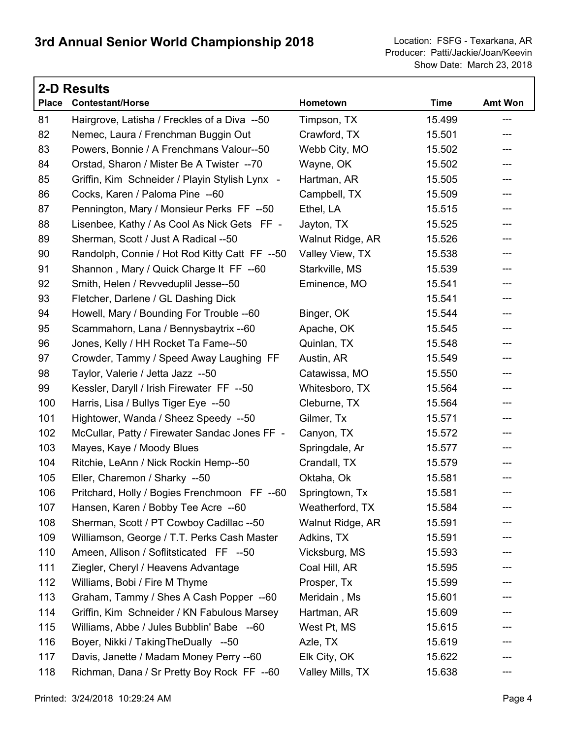|              | <b>2-D Results</b>                             |                  |             |         |  |  |
|--------------|------------------------------------------------|------------------|-------------|---------|--|--|
| <b>Place</b> | <b>Contestant/Horse</b>                        | Hometown         | <b>Time</b> | Amt Won |  |  |
| 81           | Hairgrove, Latisha / Freckles of a Diva --50   | Timpson, TX      | 15.499      | $---$   |  |  |
| 82           | Nemec, Laura / Frenchman Buggin Out            | Crawford, TX     | 15.501      | ---     |  |  |
| 83           | Powers, Bonnie / A Frenchmans Valour--50       | Webb City, MO    | 15.502      | ---     |  |  |
| 84           | Orstad, Sharon / Mister Be A Twister --70      | Wayne, OK        | 15.502      | ---     |  |  |
| 85           | Griffin, Kim Schneider / Playin Stylish Lynx - | Hartman, AR      | 15.505      | ---     |  |  |
| 86           | Cocks, Karen / Paloma Pine --60                | Campbell, TX     | 15.509      | ---     |  |  |
| 87           | Pennington, Mary / Monsieur Perks FF --50      | Ethel, LA        | 15.515      | ---     |  |  |
| 88           | Lisenbee, Kathy / As Cool As Nick Gets FF -    | Jayton, TX       | 15.525      | ---     |  |  |
| 89           | Sherman, Scott / Just A Radical --50           | Walnut Ridge, AR | 15.526      | ---     |  |  |
| 90           | Randolph, Connie / Hot Rod Kitty Catt FF --50  | Valley View, TX  | 15.538      | ---     |  |  |
| 91           | Shannon, Mary / Quick Charge It FF --60        | Starkville, MS   | 15.539      | ---     |  |  |
| 92           | Smith, Helen / Revveduplil Jesse--50           | Eminence, MO     | 15.541      | ---     |  |  |
| 93           | Fletcher, Darlene / GL Dashing Dick            |                  | 15.541      | ---     |  |  |
| 94           | Howell, Mary / Bounding For Trouble --60       | Binger, OK       | 15.544      | ---     |  |  |
| 95           | Scammahorn, Lana / Bennysbaytrix --60          | Apache, OK       | 15.545      | ---     |  |  |
| 96           | Jones, Kelly / HH Rocket Ta Fame--50           | Quinlan, TX      | 15.548      | ---     |  |  |
| 97           | Crowder, Tammy / Speed Away Laughing FF        | Austin, AR       | 15.549      | ---     |  |  |
| 98           | Taylor, Valerie / Jetta Jazz --50              | Catawissa, MO    | 15.550      | ---     |  |  |
| 99           | Kessler, Daryll / Irish Firewater FF --50      | Whitesboro, TX   | 15.564      | ---     |  |  |
| 100          | Harris, Lisa / Bullys Tiger Eye --50           | Cleburne, TX     | 15.564      | ---     |  |  |
| 101          | Hightower, Wanda / Sheez Speedy --50           | Gilmer, Tx       | 15.571      | ---     |  |  |
| 102          | McCullar, Patty / Firewater Sandac Jones FF -  | Canyon, TX       | 15.572      | ---     |  |  |
| 103          | Mayes, Kaye / Moody Blues                      | Springdale, Ar   | 15.577      | ---     |  |  |
| 104          | Ritchie, LeAnn / Nick Rockin Hemp--50          | Crandall, TX     | 15.579      | ---     |  |  |
| 105          | Eller, Charemon / Sharky --50                  | Oktaha, Ok       | 15.581      | ---     |  |  |
| 106          | Pritchard, Holly / Bogies Frenchmoon FF --60   | Springtown, Tx   | 15.581      | ---     |  |  |
| 107          | Hansen, Karen / Bobby Tee Acre --60            | Weatherford, TX  | 15.584      |         |  |  |
| 108          | Sherman, Scott / PT Cowboy Cadillac --50       | Walnut Ridge, AR | 15.591      |         |  |  |
| 109          | Williamson, George / T.T. Perks Cash Master    | Adkins, TX       | 15.591      |         |  |  |
| 110          | Ameen, Allison / Soflitsticated FF --50        | Vicksburg, MS    | 15.593      | ---     |  |  |
| 111          | Ziegler, Cheryl / Heavens Advantage            | Coal Hill, AR    | 15.595      |         |  |  |
| 112          | Williams, Bobi / Fire M Thyme                  | Prosper, Tx      | 15.599      |         |  |  |
| 113          | Graham, Tammy / Shes A Cash Popper --60        | Meridain, Ms     | 15.601      |         |  |  |
| 114          | Griffin, Kim Schneider / KN Fabulous Marsey    | Hartman, AR      | 15.609      |         |  |  |
| 115          | Williams, Abbe / Jules Bubblin' Babe --60      | West Pt, MS      | 15.615      |         |  |  |
| 116          | Boyer, Nikki / Taking The Dually --50          | Azle, TX         | 15.619      | ---     |  |  |
| 117          | Davis, Janette / Madam Money Perry --60        | Elk City, OK     | 15.622      |         |  |  |
| 118          | Richman, Dana / Sr Pretty Boy Rock FF --60     | Valley Mills, TX | 15.638      |         |  |  |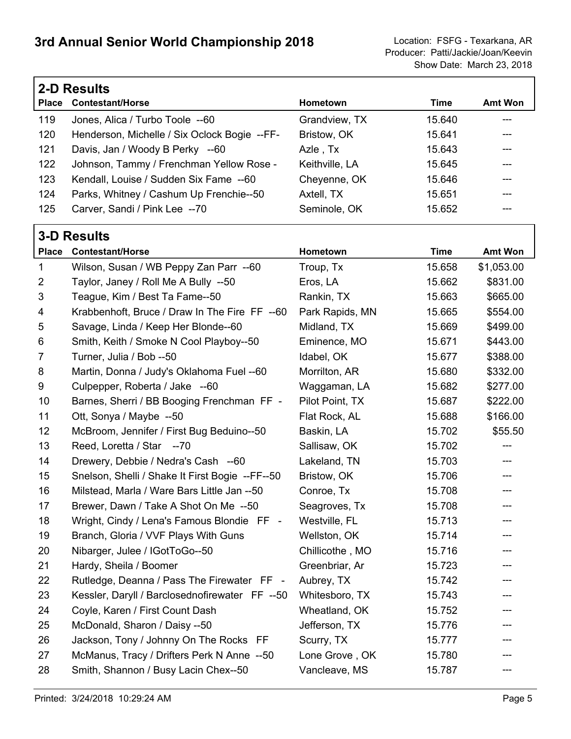Г

|                | <b>2-D Results</b>                              |                 |             |                |  |  |
|----------------|-------------------------------------------------|-----------------|-------------|----------------|--|--|
|                | Place Contestant/Horse                          | Hometown        | <b>Time</b> | <b>Amt Won</b> |  |  |
| 119            | Jones, Alica / Turbo Toole --60                 | Grandview, TX   | 15.640      | ---            |  |  |
| 120            | Henderson, Michelle / Six Oclock Bogie --FF-    | Bristow, OK     | 15.641      |                |  |  |
| 121            | Davis, Jan / Woody B Perky --60                 | Azle, Tx        | 15.643      |                |  |  |
| 122            | Johnson, Tammy / Frenchman Yellow Rose -        | Keithville, LA  | 15.645      | ---            |  |  |
| 123            | Kendall, Louise / Sudden Six Fame --60          | Cheyenne, OK    | 15.646      |                |  |  |
| 124            | Parks, Whitney / Cashum Up Frenchie--50         | Axtell, TX      | 15.651      |                |  |  |
| 125            | Carver, Sandi / Pink Lee --70                   | Seminole, OK    | 15.652      | ---            |  |  |
|                | <b>3-D Results</b>                              |                 |             |                |  |  |
| <b>Place</b>   | <b>Contestant/Horse</b>                         | Hometown        | <b>Time</b> | <b>Amt Won</b> |  |  |
| 1              | Wilson, Susan / WB Peppy Zan Parr --60          | Troup, Tx       | 15.658      | \$1,053.00     |  |  |
| $\overline{2}$ | Taylor, Janey / Roll Me A Bully --50            | Eros, LA        | 15.662      | \$831.00       |  |  |
| 3              | Teague, Kim / Best Ta Fame--50                  | Rankin, TX      | 15.663      | \$665.00       |  |  |
| 4              | Krabbenhoft, Bruce / Draw In The Fire FF --60   | Park Rapids, MN | 15.665      | \$554.00       |  |  |
| 5              | Savage, Linda / Keep Her Blonde--60             | Midland, TX     | 15.669      | \$499.00       |  |  |
| 6              | Smith, Keith / Smoke N Cool Playboy--50         | Eminence, MO    | 15.671      | \$443.00       |  |  |
| 7              | Turner, Julia / Bob --50                        | Idabel, OK      | 15.677      | \$388.00       |  |  |
| 8              | Martin, Donna / Judy's Oklahoma Fuel --60       | Morrilton, AR   | 15.680      | \$332.00       |  |  |
| 9              | Culpepper, Roberta / Jake --60                  | Waggaman, LA    | 15.682      | \$277.00       |  |  |
| 10             | Barnes, Sherri / BB Booging Frenchman FF -      | Pilot Point, TX | 15.687      | \$222.00       |  |  |
| 11             | Ott, Sonya / Maybe --50                         | Flat Rock, AL   | 15.688      | \$166.00       |  |  |
| 12             | McBroom, Jennifer / First Bug Beduino--50       | Baskin, LA      | 15.702      | \$55.50        |  |  |
| 13             | Reed, Loretta / Star --70                       | Sallisaw, OK    | 15.702      |                |  |  |
| 14             | Drewery, Debbie / Nedra's Cash --60             | Lakeland, TN    | 15.703      | ---            |  |  |
| 15             | Snelson, Shelli / Shake It First Bogie --FF--50 | Bristow, OK     | 15.706      | ---            |  |  |
| 16             | Milstead, Marla / Ware Bars Little Jan --50     | Conroe, Tx      | 15.708      | ---            |  |  |
| 17             | Brewer, Dawn / Take A Shot On Me --50           | Seagroves, Tx   | 15.708      | ---            |  |  |
| 18             | Wright, Cindy / Lena's Famous Blondie FF -      | Westville, FL   | 15.713      |                |  |  |
| 19             | Branch, Gloria / VVF Plays With Guns            | Wellston, OK    | 15.714      |                |  |  |
| 20             | Nibarger, Julee / IGotToGo--50                  | Chillicothe, MO | 15.716      |                |  |  |
| 21             | Hardy, Sheila / Boomer                          | Greenbriar, Ar  | 15.723      |                |  |  |
| 22             | Rutledge, Deanna / Pass The Firewater FF -      | Aubrey, TX      | 15.742      |                |  |  |
| 23             | Kessler, Daryll / Barclosednofirewater FF --50  | Whitesboro, TX  | 15.743      |                |  |  |
| 24             | Coyle, Karen / First Count Dash                 | Wheatland, OK   | 15.752      |                |  |  |
| 25             | McDonald, Sharon / Daisy --50                   | Jefferson, TX   | 15.776      |                |  |  |
| 26             | Jackson, Tony / Johnny On The Rocks FF          | Scurry, TX      | 15.777      |                |  |  |
| 27             | McManus, Tracy / Drifters Perk N Anne --50      | Lone Grove, OK  | 15.780      |                |  |  |
| 28             | Smith, Shannon / Busy Lacin Chex--50            | Vancleave, MS   | 15.787      |                |  |  |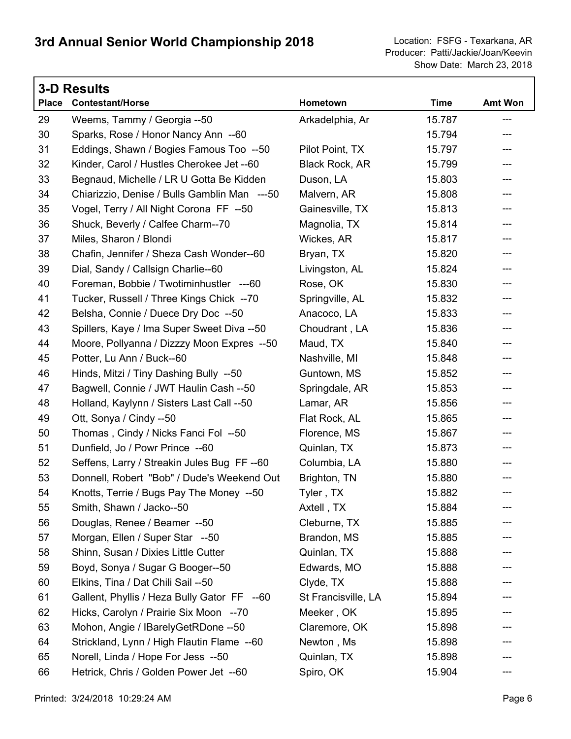Show Date: March 23, 2018 Producer: Patti/Jackie/Joan/Keevin

| <b>3-D Results</b> |                                              |                       |             |                |  |  |
|--------------------|----------------------------------------------|-----------------------|-------------|----------------|--|--|
| <b>Place</b>       | <b>Contestant/Horse</b>                      | Hometown              | <b>Time</b> | <b>Amt Won</b> |  |  |
| 29                 | Weems, Tammy / Georgia --50                  | Arkadelphia, Ar       | 15.787      | ---            |  |  |
| 30                 | Sparks, Rose / Honor Nancy Ann --60          |                       | 15.794      | ---            |  |  |
| 31                 | Eddings, Shawn / Bogies Famous Too --50      | Pilot Point, TX       | 15.797      | ---            |  |  |
| 32                 | Kinder, Carol / Hustles Cherokee Jet --60    | <b>Black Rock, AR</b> | 15.799      | ---            |  |  |
| 33                 | Begnaud, Michelle / LR U Gotta Be Kidden     | Duson, LA             | 15.803      |                |  |  |
| 34                 | Chiarizzio, Denise / Bulls Gamblin Man ---50 | Malvern, AR           | 15.808      | ---            |  |  |
| 35                 | Vogel, Terry / All Night Corona FF --50      | Gainesville, TX       | 15.813      | ---            |  |  |
| 36                 | Shuck, Beverly / Calfee Charm--70            | Magnolia, TX          | 15.814      |                |  |  |
| 37                 | Miles, Sharon / Blondi                       | Wickes, AR            | 15.817      | ---            |  |  |
| 38                 | Chafin, Jennifer / Sheza Cash Wonder--60     | Bryan, TX             | 15.820      | ---            |  |  |
| 39                 | Dial, Sandy / Callsign Charlie--60           | Livingston, AL        | 15.824      | ---            |  |  |
| 40                 | Foreman, Bobbie / Twotiminhustler ---60      | Rose, OK              | 15.830      | ---            |  |  |
| 41                 | Tucker, Russell / Three Kings Chick --70     | Springville, AL       | 15.832      | ---            |  |  |
| 42                 | Belsha, Connie / Duece Dry Doc --50          | Anacoco, LA           | 15.833      | ---            |  |  |
| 43                 | Spillers, Kaye / Ima Super Sweet Diva --50   | Choudrant, LA         | 15.836      | ---            |  |  |
| 44                 | Moore, Pollyanna / Dizzzy Moon Expres --50   | Maud, TX              | 15.840      | ---            |  |  |
| 45                 | Potter, Lu Ann / Buck--60                    | Nashville, MI         | 15.848      |                |  |  |
| 46                 | Hinds, Mitzi / Tiny Dashing Bully --50       | Guntown, MS           | 15.852      | ---            |  |  |
| 47                 | Bagwell, Connie / JWT Haulin Cash --50       | Springdale, AR        | 15.853      | ---            |  |  |
| 48                 | Holland, Kaylynn / Sisters Last Call --50    | Lamar, AR             | 15.856      | ---            |  |  |
| 49                 | Ott, Sonya / Cindy --50                      | Flat Rock, AL         | 15.865      | ---            |  |  |
| 50                 | Thomas, Cindy / Nicks Fanci Fol --50         | Florence, MS          | 15.867      | ---            |  |  |
| 51                 | Dunfield, Jo / Powr Prince --60              | Quinlan, TX           | 15.873      | ---            |  |  |
| 52                 | Seffens, Larry / Streakin Jules Bug FF--60   | Columbia, LA          | 15.880      | ---            |  |  |
| 53                 | Donnell, Robert "Bob" / Dude's Weekend Out   | Brighton, TN          | 15.880      | ---            |  |  |
| 54                 | Knotts, Terrie / Bugs Pay The Money --50     | Tyler, TX             | 15.882      | ---            |  |  |
| 55                 | Smith, Shawn / Jacko--50                     | Axtell, TX            | 15.884      |                |  |  |
| 56                 | Douglas, Renee / Beamer --50                 | Cleburne, TX          | 15.885      |                |  |  |
| 57                 | Morgan, Ellen / Super Star --50              | Brandon, MS           | 15.885      |                |  |  |
| 58                 | Shinn, Susan / Dixies Little Cutter          | Quinlan, TX           | 15.888      |                |  |  |
| 59                 | Boyd, Sonya / Sugar G Booger--50             | Edwards, MO           | 15.888      |                |  |  |
| 60                 | Elkins, Tina / Dat Chili Sail --50           | Clyde, TX             | 15.888      |                |  |  |
| 61                 | Gallent, Phyllis / Heza Bully Gator FF --60  | St Francisville, LA   | 15.894      |                |  |  |
| 62                 | Hicks, Carolyn / Prairie Six Moon --70       | Meeker, OK            | 15.895      |                |  |  |
| 63                 | Mohon, Angie / IBarelyGetRDone -- 50         | Claremore, OK         | 15.898      |                |  |  |
| 64                 | Strickland, Lynn / High Flautin Flame --60   | Newton, Ms            | 15.898      |                |  |  |
| 65                 | Norell, Linda / Hope For Jess --50           | Quinlan, TX           | 15.898      |                |  |  |
| 66                 | Hetrick, Chris / Golden Power Jet --60       | Spiro, OK             | 15.904      |                |  |  |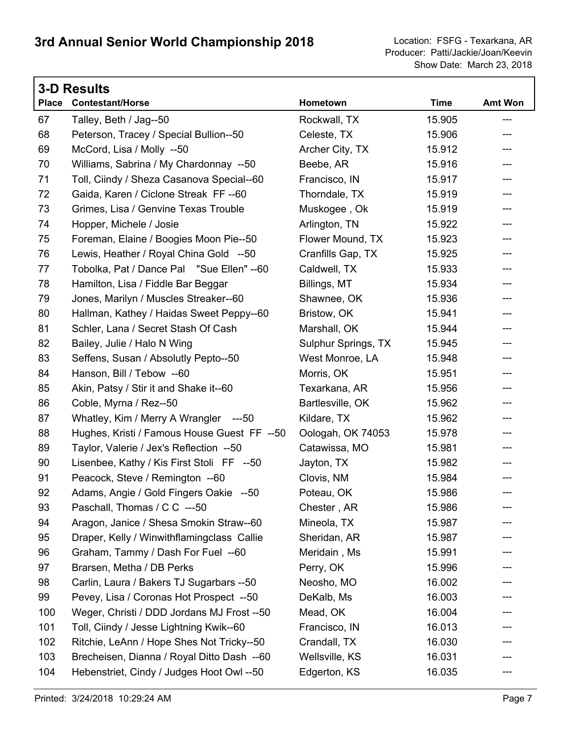| <b>3-D Results</b> |                                             |                     |             |                |
|--------------------|---------------------------------------------|---------------------|-------------|----------------|
| <b>Place</b>       | <b>Contestant/Horse</b>                     | Hometown            | <b>Time</b> | <b>Amt Won</b> |
| 67                 | Talley, Beth / Jag--50                      | Rockwall, TX        | 15.905      | ---            |
| 68                 | Peterson, Tracey / Special Bullion--50      | Celeste, TX         | 15.906      | ---            |
| 69                 | McCord, Lisa / Molly --50                   | Archer City, TX     | 15.912      | ---            |
| 70                 | Williams, Sabrina / My Chardonnay --50      | Beebe, AR           | 15.916      | ---            |
| 71                 | Toll, Ciindy / Sheza Casanova Special--60   | Francisco, IN       | 15.917      | ---            |
| 72                 | Gaida, Karen / Ciclone Streak FF--60        | Thorndale, TX       | 15.919      | ---            |
| 73                 | Grimes, Lisa / Genvine Texas Trouble        | Muskogee, Ok        | 15.919      | $---$          |
| 74                 | Hopper, Michele / Josie                     | Arlington, TN       | 15.922      | $---$          |
| 75                 | Foreman, Elaine / Boogies Moon Pie--50      | Flower Mound, TX    | 15.923      | ---            |
| 76                 | Lewis, Heather / Royal China Gold --50      | Cranfills Gap, TX   | 15.925      | ---            |
| 77                 | Tobolka, Pat / Dance Pal "Sue Ellen" --60   | Caldwell, TX        | 15.933      | ---            |
| 78                 | Hamilton, Lisa / Fiddle Bar Beggar          | Billings, MT        | 15.934      | ---            |
| 79                 | Jones, Marilyn / Muscles Streaker--60       | Shawnee, OK         | 15.936      | ---            |
| 80                 | Hallman, Kathey / Haidas Sweet Peppy--60    | Bristow, OK         | 15.941      | ---            |
| 81                 | Schler, Lana / Secret Stash Of Cash         | Marshall, OK        | 15.944      | ---            |
| 82                 | Bailey, Julie / Halo N Wing                 | Sulphur Springs, TX | 15.945      | ---            |
| 83                 | Seffens, Susan / Absolutly Pepto--50        | West Monroe, LA     | 15.948      | $---$          |
| 84                 | Hanson, Bill / Tebow --60                   | Morris, OK          | 15.951      | ---            |
| 85                 | Akin, Patsy / Stir it and Shake it--60      | Texarkana, AR       | 15.956      | ---            |
| 86                 | Coble, Myrna / Rez--50                      | Bartlesville, OK    | 15.962      | ---            |
| 87                 | Whatley, Kim / Merry A Wrangler ---50       | Kildare, TX         | 15.962      | ---            |
| 88                 | Hughes, Kristi / Famous House Guest FF --50 | Oologah, OK 74053   | 15.978      | ---            |
| 89                 | Taylor, Valerie / Jex's Reflection --50     | Catawissa, MO       | 15.981      | ---            |
| 90                 | Lisenbee, Kathy / Kis First Stoli FF --50   | Jayton, TX          | 15.982      | ---            |
| 91                 | Peacock, Steve / Remington --60             | Clovis, NM          | 15.984      | ---            |
| 92                 | Adams, Angie / Gold Fingers Oakie --50      | Poteau, OK          | 15.986      | ---            |
| 93                 | Paschall, Thomas / C C ---50                | Chester, AR         | 15.986      |                |
| 94                 | Aragon, Janice / Shesa Smokin Straw--60     | Mineola, TX         | 15.987      |                |
| 95                 | Draper, Kelly / Winwithflamingclass Callie  | Sheridan, AR        | 15.987      |                |
| 96                 | Graham, Tammy / Dash For Fuel --60          | Meridain, Ms        | 15.991      |                |
| 97                 | Brarsen, Metha / DB Perks                   | Perry, OK           | 15.996      |                |
| 98                 | Carlin, Laura / Bakers TJ Sugarbars --50    | Neosho, MO          | 16.002      |                |
| 99                 | Pevey, Lisa / Coronas Hot Prospect --50     | DeKalb, Ms          | 16.003      |                |
| 100                | Weger, Christi / DDD Jordans MJ Frost --50  | Mead, OK            | 16.004      |                |
| 101                | Toll, Ciindy / Jesse Lightning Kwik--60     | Francisco, IN       | 16.013      |                |
| 102                | Ritchie, LeAnn / Hope Shes Not Tricky--50   | Crandall, TX        | 16.030      |                |
| 103                | Brecheisen, Dianna / Royal Ditto Dash --60  | Wellsville, KS      | 16.031      |                |
| 104                | Hebenstriet, Cindy / Judges Hoot Owl --50   | Edgerton, KS        | 16.035      |                |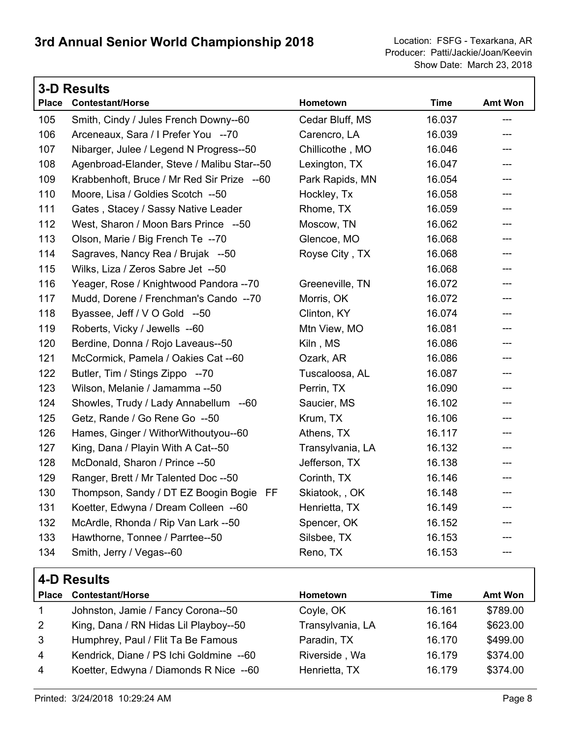|              | <b>3-D Results</b>                         |                  |             |                |  |
|--------------|--------------------------------------------|------------------|-------------|----------------|--|
| <b>Place</b> | <b>Contestant/Horse</b>                    | Hometown         | <b>Time</b> | <b>Amt Won</b> |  |
| 105          | Smith, Cindy / Jules French Downy--60      | Cedar Bluff, MS  | 16.037      | ---            |  |
| 106          | Arceneaux, Sara / I Prefer You --70        | Carencro, LA     | 16.039      | ---            |  |
| 107          | Nibarger, Julee / Legend N Progress--50    | Chillicothe, MO  | 16.046      | ---            |  |
| 108          | Agenbroad-Elander, Steve / Malibu Star--50 | Lexington, TX    | 16.047      | ---            |  |
| 109          | Krabbenhoft, Bruce / Mr Red Sir Prize --60 | Park Rapids, MN  | 16.054      | $---$          |  |
| 110          | Moore, Lisa / Goldies Scotch --50          | Hockley, Tx      | 16.058      | ---            |  |
| 111          | Gates, Stacey / Sassy Native Leader        | Rhome, TX        | 16.059      | ---            |  |
| 112          | West, Sharon / Moon Bars Prince --50       | Moscow, TN       | 16.062      | ---            |  |
| 113          | Olson, Marie / Big French Te --70          | Glencoe, MO      | 16.068      | ---            |  |
| 114          | Sagraves, Nancy Rea / Brujak --50          | Royse City, TX   | 16.068      | ---            |  |
| 115          | Wilks, Liza / Zeros Sabre Jet --50         |                  | 16.068      | ---            |  |
| 116          | Yeager, Rose / Knightwood Pandora --70     | Greeneville, TN  | 16.072      | ---            |  |
| 117          | Mudd, Dorene / Frenchman's Cando --70      | Morris, OK       | 16.072      | ---            |  |
| 118          | Byassee, Jeff / V O Gold --50              | Clinton, KY      | 16.074      | $---$          |  |
| 119          | Roberts, Vicky / Jewells --60              | Mtn View, MO     | 16.081      | ---            |  |
| 120          | Berdine, Donna / Rojo Laveaus--50          | Kiln, MS         | 16.086      | ---            |  |
| 121          | McCormick, Pamela / Oakies Cat --60        | Ozark, AR        | 16.086      | ---            |  |
| 122          | Butler, Tim / Stings Zippo --70            | Tuscaloosa, AL   | 16.087      | ---            |  |
| 123          | Wilson, Melanie / Jamamma --50             | Perrin, TX       | 16.090      | ---            |  |
| 124          | Showles, Trudy / Lady Annabellum --60      | Saucier, MS      | 16.102      | ---            |  |
| 125          | Getz, Rande / Go Rene Go --50              | Krum, TX         | 16.106      | ---            |  |
| 126          | Hames, Ginger / WithorWithoutyou--60       | Athens, TX       | 16.117      | ---            |  |
| 127          | King, Dana / Playin With A Cat--50         | Transylvania, LA | 16.132      | ---            |  |
| 128          | McDonald, Sharon / Prince --50             | Jefferson, TX    | 16.138      | ---            |  |
| 129          | Ranger, Brett / Mr Talented Doc --50       | Corinth, TX      | 16.146      | ---            |  |
| 130          | Thompson, Sandy / DT EZ Boogin Bogie FF    | Skiatook, , OK   | 16.148      | ---            |  |
| 131          | Koetter, Edwyna / Dream Colleen --60       | Henrietta, TX    | 16.149      |                |  |
| 132          | McArdle, Rhonda / Rip Van Lark --50        | Spencer, OK      | 16.152      |                |  |
| 133          | Hawthorne, Tonnee / Parrtee--50            | Silsbee, TX      | 16.153      |                |  |
| 134          | Smith, Jerry / Vegas--60                   | Reno, TX         | 16.153      |                |  |
|              | <b>A.D. Roeulte</b>                        |                  |             |                |  |

|                | <b>4-D LESUILS</b>                      |                  |        |                |
|----------------|-----------------------------------------|------------------|--------|----------------|
| <b>Place</b>   | <b>Contestant/Horse</b>                 | <b>Hometown</b>  | Time   | <b>Amt Won</b> |
|                | Johnston, Jamie / Fancy Corona--50      | Coyle, OK        | 16.161 | \$789.00       |
| $\overline{2}$ | King, Dana / RN Hidas Lil Playboy--50   | Transylvania, LA | 16.164 | \$623.00       |
| 3              | Humphrey, Paul / Flit Ta Be Famous      | Paradin, TX      | 16.170 | \$499.00       |
| $\overline{4}$ | Kendrick, Diane / PS Ichi Goldmine --60 | Riverside, Wa    | 16.179 | \$374.00       |
| 4              | Koetter, Edwyna / Diamonds R Nice --60  | Henrietta, TX    | 16.179 | \$374.00       |
|                |                                         |                  |        |                |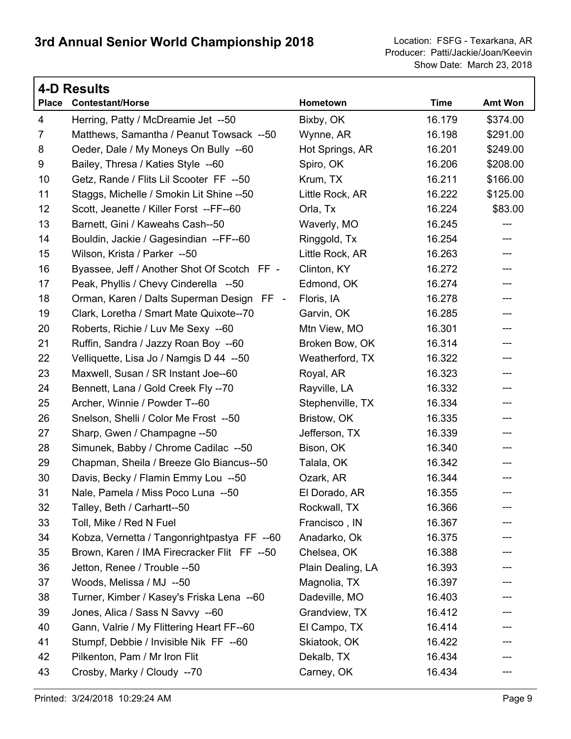| 4-D Results    |                                             |                   |             |                            |
|----------------|---------------------------------------------|-------------------|-------------|----------------------------|
| <b>Place</b>   | <b>Contestant/Horse</b>                     | Hometown          | <b>Time</b> | Amt Won                    |
| 4              | Herring, Patty / McDreamie Jet --50         | Bixby, OK         | 16.179      | \$374.00                   |
| $\overline{7}$ | Matthews, Samantha / Peanut Towsack --50    | Wynne, AR         | 16.198      | \$291.00                   |
| 8              | Oeder, Dale / My Moneys On Bully --60       | Hot Springs, AR   | 16.201      | \$249.00                   |
| 9              | Bailey, Thresa / Katies Style --60          | Spiro, OK         | 16.206      | \$208.00                   |
| 10             | Getz, Rande / Flits Lil Scooter FF --50     | Krum, TX          | 16.211      | \$166.00                   |
| 11             | Staggs, Michelle / Smokin Lit Shine --50    | Little Rock, AR   | 16.222      | \$125.00                   |
| 12             | Scott, Jeanette / Killer Forst --FF--60     | Orla, Tx          | 16.224      | \$83.00                    |
| 13             | Barnett, Gini / Kaweahs Cash--50            | Waverly, MO       | 16.245      | $---$                      |
| 14             | Bouldin, Jackie / Gagesindian --FF--60      | Ringgold, Tx      | 16.254      | ---                        |
| 15             | Wilson, Krista / Parker --50                | Little Rock, AR   | 16.263      | ---                        |
| 16             | Byassee, Jeff / Another Shot Of Scotch FF - | Clinton, KY       | 16.272      | ---                        |
| 17             | Peak, Phyllis / Chevy Cinderella --50       | Edmond, OK        | 16.274      | ---                        |
| 18             | Orman, Karen / Dalts Superman Design FF -   | Floris, IA        | 16.278      | ---                        |
| 19             | Clark, Loretha / Smart Mate Quixote--70     | Garvin, OK        | 16.285      | ---                        |
| 20             | Roberts, Richie / Luv Me Sexy --60          | Mtn View, MO      | 16.301      | ---                        |
| 21             | Ruffin, Sandra / Jazzy Roan Boy --60        | Broken Bow, OK    | 16.314      | ---                        |
| 22             | Velliquette, Lisa Jo / Namgis D 44 --50     | Weatherford, TX   | 16.322      | ---                        |
| 23             | Maxwell, Susan / SR Instant Joe--60         | Royal, AR         | 16.323      | ---                        |
| 24             | Bennett, Lana / Gold Creek Fly --70         | Rayville, LA      | 16.332      | ---                        |
| 25             | Archer, Winnie / Powder T--60               | Stephenville, TX  | 16.334      | ---                        |
| 26             | Snelson, Shelli / Color Me Frost --50       | Bristow, OK       | 16.335      | $\qquad \qquad \text{---}$ |
| 27             | Sharp, Gwen / Champagne -- 50               | Jefferson, TX     | 16.339      | ---                        |
| 28             | Simunek, Babby / Chrome Cadilac --50        | Bison, OK         | 16.340      | ---                        |
| 29             | Chapman, Sheila / Breeze Glo Biancus--50    | Talala, OK        | 16.342      | ---                        |
| 30             | Davis, Becky / Flamin Emmy Lou --50         | Ozark, AR         | 16.344      | ---                        |
| 31             | Nale, Pamela / Miss Poco Luna --50          | El Dorado, AR     | 16.355      | ---                        |
| 32             | Talley, Beth / Carhartt--50                 | Rockwall, TX      | 16.366      |                            |
| 33             | Toll, Mike / Red N Fuel                     | Francisco, IN     | 16.367      |                            |
| 34             | Kobza, Vernetta / Tangonrightpastya FF --60 | Anadarko, Ok      | 16.375      |                            |
| 35             | Brown, Karen / IMA Firecracker Flit FF --50 | Chelsea, OK       | 16.388      |                            |
| 36             | Jetton, Renee / Trouble --50                | Plain Dealing, LA | 16.393      |                            |
| 37             | Woods, Melissa / MJ --50                    | Magnolia, TX      | 16.397      |                            |
| 38             | Turner, Kimber / Kasey's Friska Lena --60   | Dadeville, MO     | 16.403      |                            |
| 39             | Jones, Alica / Sass N Savvy --60            | Grandview, TX     | 16.412      |                            |
| 40             | Gann, Valrie / My Flittering Heart FF--60   | El Campo, TX      | 16.414      |                            |
| 41             | Stumpf, Debbie / Invisible Nik FF --60      | Skiatook, OK      | 16.422      |                            |
| 42             | Pilkenton, Pam / Mr Iron Flit               | Dekalb, TX        | 16.434      |                            |
| 43             | Crosby, Marky / Cloudy --70                 | Carney, OK        | 16.434      |                            |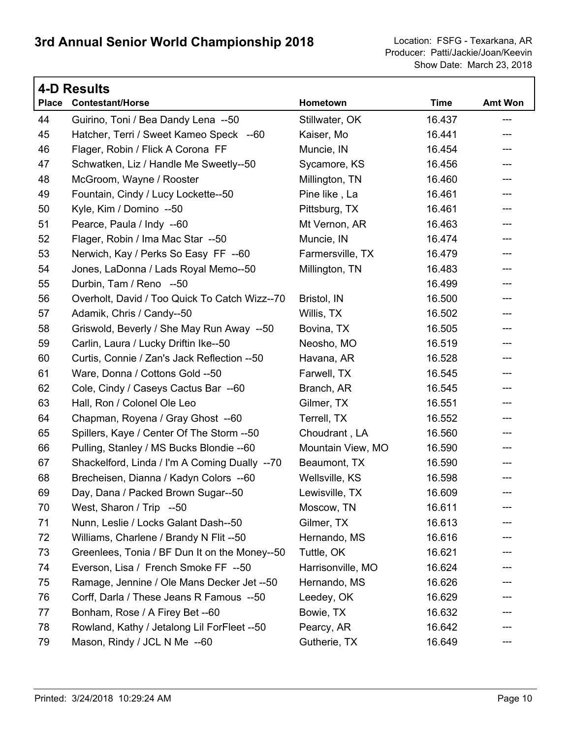|              | <b>4-D Results</b>                            |                   |             |                |  |
|--------------|-----------------------------------------------|-------------------|-------------|----------------|--|
| <b>Place</b> | <b>Contestant/Horse</b>                       | Hometown          | <b>Time</b> | <b>Amt Won</b> |  |
| 44           | Guirino, Toni / Bea Dandy Lena --50           | Stillwater, OK    | 16.437      | ---            |  |
| 45           | Hatcher, Terri / Sweet Kameo Speck --60       | Kaiser, Mo        | 16.441      | ---            |  |
| 46           | Flager, Robin / Flick A Corona FF             | Muncie, IN        | 16.454      | ---            |  |
| 47           | Schwatken, Liz / Handle Me Sweetly--50        | Sycamore, KS      | 16.456      | ---            |  |
| 48           | McGroom, Wayne / Rooster                      | Millington, TN    | 16.460      | ---            |  |
| 49           | Fountain, Cindy / Lucy Lockette--50           | Pine like, La     | 16.461      | ---            |  |
| 50           | Kyle, Kim / Domino --50                       | Pittsburg, TX     | 16.461      | ---            |  |
| 51           | Pearce, Paula / Indy --60                     | Mt Vernon, AR     | 16.463      | ---            |  |
| 52           | Flager, Robin / Ima Mac Star --50             | Muncie, IN        | 16.474      | ---            |  |
| 53           | Nerwich, Kay / Perks So Easy FF --60          | Farmersville, TX  | 16.479      | ---            |  |
| 54           | Jones, LaDonna / Lads Royal Memo--50          | Millington, TN    | 16.483      | ---            |  |
| 55           | Durbin, Tam / Reno --50                       |                   | 16.499      | ---            |  |
| 56           | Overholt, David / Too Quick To Catch Wizz--70 | Bristol, IN       | 16.500      | ---            |  |
| 57           | Adamik, Chris / Candy--50                     | Willis, TX        | 16.502      | ---            |  |
| 58           | Griswold, Beverly / She May Run Away --50     | Bovina, TX        | 16.505      | ---            |  |
| 59           | Carlin, Laura / Lucky Driftin Ike--50         | Neosho, MO        | 16.519      | ---            |  |
| 60           | Curtis, Connie / Zan's Jack Reflection --50   | Havana, AR        | 16.528      | ---            |  |
| 61           | Ware, Donna / Cottons Gold --50               | Farwell, TX       | 16.545      | ---            |  |
| 62           | Cole, Cindy / Caseys Cactus Bar --60          | Branch, AR        | 16.545      | ---            |  |
| 63           | Hall, Ron / Colonel Ole Leo                   | Gilmer, TX        | 16.551      | ---            |  |
| 64           | Chapman, Royena / Gray Ghost --60             | Terrell, TX       | 16.552      | ---            |  |
| 65           | Spillers, Kaye / Center Of The Storm --50     | Choudrant, LA     | 16.560      | ---            |  |
| 66           | Pulling, Stanley / MS Bucks Blondie -- 60     | Mountain View, MO | 16.590      | ---            |  |
| 67           | Shackelford, Linda / I'm A Coming Dually --70 | Beaumont, TX      | 16.590      | ---            |  |
| 68           | Brecheisen, Dianna / Kadyn Colors --60        | Wellsville, KS    | 16.598      | ---            |  |
| 69           | Day, Dana / Packed Brown Sugar--50            | Lewisville, TX    | 16.609      | ---            |  |
| 70           | West, Sharon / Trip --50                      | Moscow, TN        | 16.611      |                |  |
| 71           | Nunn, Leslie / Locks Galant Dash--50          | Gilmer, TX        | 16.613      |                |  |
| 72           | Williams, Charlene / Brandy N Flit --50       | Hernando, MS      | 16.616      |                |  |
| 73           | Greenlees, Tonia / BF Dun It on the Money--50 | Tuttle, OK        | 16.621      |                |  |
| 74           | Everson, Lisa / French Smoke FF --50          | Harrisonville, MO | 16.624      | ---            |  |
| 75           | Ramage, Jennine / Ole Mans Decker Jet --50    | Hernando, MS      | 16.626      |                |  |
| 76           | Corff, Darla / These Jeans R Famous --50      | Leedey, OK        | 16.629      |                |  |
| 77           | Bonham, Rose / A Firey Bet --60               | Bowie, TX         | 16.632      | ---            |  |
| 78           | Rowland, Kathy / Jetalong Lil ForFleet --50   | Pearcy, AR        | 16.642      |                |  |
| 79           | Mason, Rindy / JCL N Me --60                  | Gutherie, TX      | 16.649      |                |  |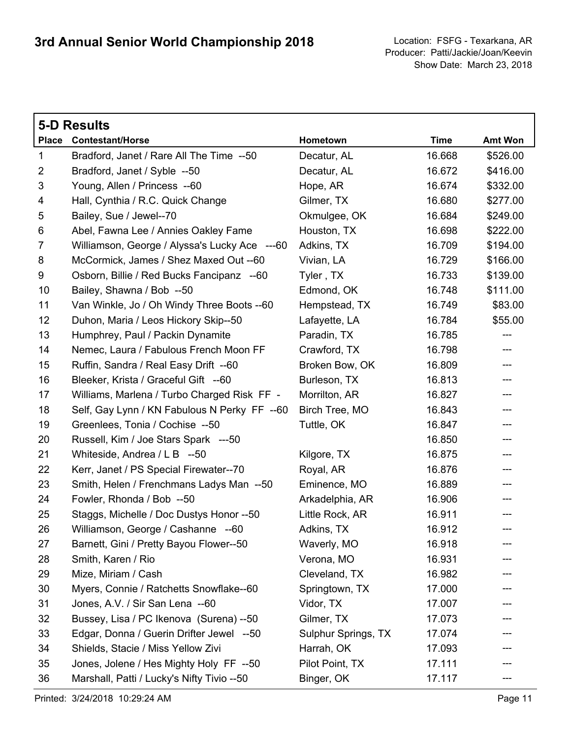|                | 5-D Results                                   |                     |             |                           |
|----------------|-----------------------------------------------|---------------------|-------------|---------------------------|
| <b>Place</b>   | <b>Contestant/Horse</b>                       | Hometown            | <b>Time</b> | <b>Amt Won</b>            |
| $\mathbf 1$    | Bradford, Janet / Rare All The Time --50      | Decatur, AL         | 16.668      | \$526.00                  |
| $\overline{2}$ | Bradford, Janet / Syble --50                  | Decatur, AL         | 16.672      | \$416.00                  |
| 3              | Young, Allen / Princess --60                  | Hope, AR            | 16.674      | \$332.00                  |
| 4              | Hall, Cynthia / R.C. Quick Change             | Gilmer, TX          | 16.680      | \$277.00                  |
| 5              | Bailey, Sue / Jewel--70                       | Okmulgee, OK        | 16.684      | \$249.00                  |
| 6              | Abel, Fawna Lee / Annies Oakley Fame          | Houston, TX         | 16.698      | \$222.00                  |
| $\overline{7}$ | Williamson, George / Alyssa's Lucky Ace ---60 | Adkins, TX          | 16.709      | \$194.00                  |
| 8              | McCormick, James / Shez Maxed Out -- 60       | Vivian, LA          | 16.729      | \$166.00                  |
| 9              | Osborn, Billie / Red Bucks Fancipanz --60     | Tyler, TX           | 16.733      | \$139.00                  |
| 10             | Bailey, Shawna / Bob --50                     | Edmond, OK          | 16.748      | \$111.00                  |
| 11             | Van Winkle, Jo / Oh Windy Three Boots -- 60   | Hempstead, TX       | 16.749      | \$83.00                   |
| 12             | Duhon, Maria / Leos Hickory Skip--50          | Lafayette, LA       | 16.784      | \$55.00                   |
| 13             | Humphrey, Paul / Packin Dynamite              | Paradin, TX         | 16.785      | ---                       |
| 14             | Nemec, Laura / Fabulous French Moon FF        | Crawford, TX        | 16.798      | $\qquad \qquad -\qquad -$ |
| 15             | Ruffin, Sandra / Real Easy Drift --60         | Broken Bow, OK      | 16.809      | ---                       |
| 16             | Bleeker, Krista / Graceful Gift --60          | Burleson, TX        | 16.813      | ---                       |
| 17             | Williams, Marlena / Turbo Charged Risk FF -   | Morrilton, AR       | 16.827      | ---                       |
| 18             | Self, Gay Lynn / KN Fabulous N Perky FF --60  | Birch Tree, MO      | 16.843      | ---                       |
| 19             | Greenlees, Tonia / Cochise --50               | Tuttle, OK          | 16.847      | ---                       |
| 20             | Russell, Kim / Joe Stars Spark ---50          |                     | 16.850      | ---                       |
| 21             | Whiteside, Andrea / L B --50                  | Kilgore, TX         | 16.875      | ---                       |
| 22             | Kerr, Janet / PS Special Firewater--70        | Royal, AR           | 16.876      | ---                       |
| 23             | Smith, Helen / Frenchmans Ladys Man --50      | Eminence, MO        | 16.889      | ---                       |
| 24             | Fowler, Rhonda / Bob --50                     | Arkadelphia, AR     | 16.906      | ---                       |
| 25             | Staggs, Michelle / Doc Dustys Honor --50      | Little Rock, AR     | 16.911      | ---                       |
| 26             | Williamson, George / Cashanne --60            | Adkins, TX          | 16.912      | ---                       |
| 27             | Barnett, Gini / Pretty Bayou Flower--50       | Waverly, MO         | 16.918      |                           |
| 28             | Smith, Karen / Rio                            | Verona, MO          | 16.931      |                           |
| 29             | Mize, Miriam / Cash                           | Cleveland, TX       | 16.982      |                           |
| 30             | Myers, Connie / Ratchetts Snowflake--60       | Springtown, TX      | 17.000      |                           |
| 31             | Jones, A.V. / Sir San Lena --60               | Vidor, TX           | 17.007      |                           |
| 32             | Bussey, Lisa / PC Ikenova (Surena) --50       | Gilmer, TX          | 17.073      |                           |
| 33             | Edgar, Donna / Guerin Drifter Jewel --50      | Sulphur Springs, TX | 17.074      |                           |
| 34             | Shields, Stacie / Miss Yellow Zivi            | Harrah, OK          | 17.093      |                           |
| 35             | Jones, Jolene / Hes Mighty Holy FF --50       | Pilot Point, TX     | 17.111      |                           |
| 36             | Marshall, Patti / Lucky's Nifty Tivio --50    | Binger, OK          | 17.117      |                           |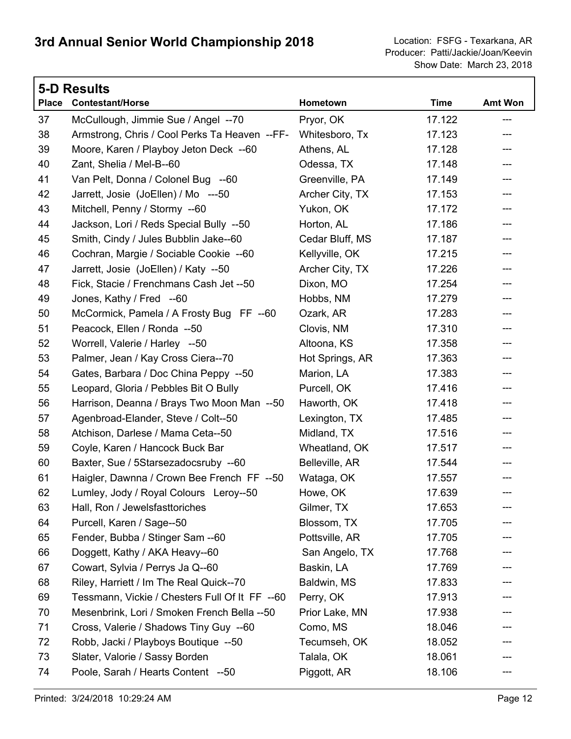|              | <b>5-D Results</b>                             |                 |             |                |  |  |
|--------------|------------------------------------------------|-----------------|-------------|----------------|--|--|
| <b>Place</b> | <b>Contestant/Horse</b>                        | Hometown        | <b>Time</b> | <b>Amt Won</b> |  |  |
| 37           | McCullough, Jimmie Sue / Angel --70            | Pryor, OK       | 17.122      | ---            |  |  |
| 38           | Armstrong, Chris / Cool Perks Ta Heaven --FF-  | Whitesboro, Tx  | 17.123      | ---            |  |  |
| 39           | Moore, Karen / Playboy Jeton Deck --60         | Athens, AL      | 17.128      | ---            |  |  |
| 40           | Zant, Shelia / Mel-B--60                       | Odessa, TX      | 17.148      | ---            |  |  |
| 41           | Van Pelt, Donna / Colonel Bug --60             | Greenville, PA  | 17.149      | ---            |  |  |
| 42           | Jarrett, Josie (JoEllen) / Mo ---50            | Archer City, TX | 17.153      | ---            |  |  |
| 43           | Mitchell, Penny / Stormy --60                  | Yukon, OK       | 17.172      | ---            |  |  |
| 44           | Jackson, Lori / Reds Special Bully --50        | Horton, AL      | 17.186      | ---            |  |  |
| 45           | Smith, Cindy / Jules Bubblin Jake--60          | Cedar Bluff, MS | 17.187      | ---            |  |  |
| 46           | Cochran, Margie / Sociable Cookie --60         | Kellyville, OK  | 17.215      | ---            |  |  |
| 47           | Jarrett, Josie (JoEllen) / Katy --50           | Archer City, TX | 17.226      | ---            |  |  |
| 48           | Fick, Stacie / Frenchmans Cash Jet --50        | Dixon, MO       | 17.254      | ---            |  |  |
| 49           | Jones, Kathy / Fred --60                       | Hobbs, NM       | 17.279      | ---            |  |  |
| 50           | McCormick, Pamela / A Frosty Bug FF --60       | Ozark, AR       | 17.283      | ---            |  |  |
| 51           | Peacock, Ellen / Ronda --50                    | Clovis, NM      | 17.310      | ---            |  |  |
| 52           | Worrell, Valerie / Harley --50                 | Altoona, KS     | 17.358      | ---            |  |  |
| 53           | Palmer, Jean / Kay Cross Ciera--70             | Hot Springs, AR | 17.363      | ---            |  |  |
| 54           | Gates, Barbara / Doc China Peppy --50          | Marion, LA      | 17.383      | ---            |  |  |
| 55           | Leopard, Gloria / Pebbles Bit O Bully          | Purcell, OK     | 17.416      | ---            |  |  |
| 56           | Harrison, Deanna / Brays Two Moon Man --50     | Haworth, OK     | 17.418      | ---            |  |  |
| 57           | Agenbroad-Elander, Steve / Colt--50            | Lexington, TX   | 17.485      | ---            |  |  |
| 58           | Atchison, Darlese / Mama Ceta--50              | Midland, TX     | 17.516      | ---            |  |  |
| 59           | Coyle, Karen / Hancock Buck Bar                | Wheatland, OK   | 17.517      | ---            |  |  |
| 60           | Baxter, Sue / 5Starsezadocsruby --60           | Belleville, AR  | 17.544      | ---            |  |  |
| 61           | Haigler, Dawnna / Crown Bee French FF --50     | Wataga, OK      | 17.557      | ---            |  |  |
| 62           | Lumley, Jody / Royal Colours Leroy--50         | Howe, OK        | 17.639      | ---            |  |  |
| 63           | Hall, Ron / Jewelsfasttoriches                 | Gilmer, TX      | 17.653      |                |  |  |
| 64           | Purcell, Karen / Sage--50                      | Blossom, TX     | 17.705      |                |  |  |
| 65           | Fender, Bubba / Stinger Sam --60               | Pottsville, AR  | 17.705      |                |  |  |
| 66           | Doggett, Kathy / AKA Heavy--60                 | San Angelo, TX  | 17.768      |                |  |  |
| 67           | Cowart, Sylvia / Perrys Ja Q--60               | Baskin, LA      | 17.769      |                |  |  |
| 68           | Riley, Harriett / Im The Real Quick--70        | Baldwin, MS     | 17.833      |                |  |  |
| 69           | Tessmann, Vickie / Chesters Full Of It FF --60 | Perry, OK       | 17.913      | ---            |  |  |
| 70           | Mesenbrink, Lori / Smoken French Bella --50    | Prior Lake, MN  | 17.938      |                |  |  |
| 71           | Cross, Valerie / Shadows Tiny Guy -- 60        | Como, MS        | 18.046      |                |  |  |
| 72           | Robb, Jacki / Playboys Boutique -- 50          | Tecumseh, OK    | 18.052      |                |  |  |
| 73           | Slater, Valorie / Sassy Borden                 | Talala, OK      | 18.061      |                |  |  |
| 74           | Poole, Sarah / Hearts Content --50             | Piggott, AR     | 18.106      |                |  |  |
|              |                                                |                 |             |                |  |  |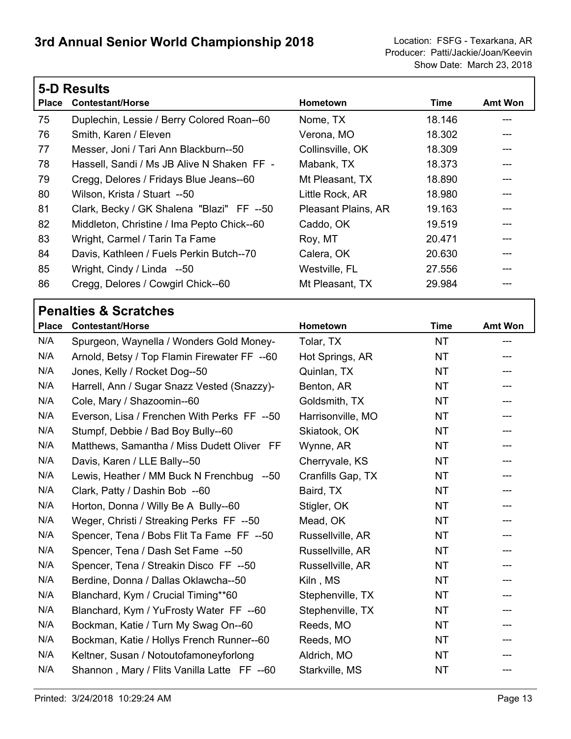|              | <b>5-D Results</b>                         |                     |        |                |  |
|--------------|--------------------------------------------|---------------------|--------|----------------|--|
| <b>Place</b> | <b>Contestant/Horse</b>                    | Hometown            | Time   | <b>Amt Won</b> |  |
| 75           | Duplechin, Lessie / Berry Colored Roan--60 | Nome, TX            | 18.146 |                |  |
| 76           | Smith, Karen / Eleven                      | Verona, MO          | 18.302 |                |  |
| 77           | Messer, Joni / Tari Ann Blackburn--50      | Collinsville, OK    | 18.309 |                |  |
| 78           | Hassell, Sandi / Ms JB Alive N Shaken FF - | Mabank, TX          | 18.373 |                |  |
| 79           | Cregg, Delores / Fridays Blue Jeans--60    | Mt Pleasant, TX     | 18.890 |                |  |
| 80           | Wilson, Krista / Stuart --50               | Little Rock, AR     | 18.980 |                |  |
| 81           | Clark, Becky / GK Shalena "Blazi" FF --50  | Pleasant Plains, AR | 19.163 |                |  |
| 82           | Middleton, Christine / Ima Pepto Chick--60 | Caddo, OK           | 19.519 |                |  |
| 83           | Wright, Carmel / Tarin Ta Fame             | Roy, MT             | 20.471 |                |  |
| 84           | Davis, Kathleen / Fuels Perkin Butch--70   | Calera, OK          | 20.630 |                |  |
| 85           | Wright, Cindy / Linda --50                 | Westville, FL       | 27.556 |                |  |
| 86           | Cregg, Delores / Cowgirl Chick--60         | Mt Pleasant, TX     | 29.984 |                |  |
|              |                                            |                     |        |                |  |

# **Penalties & Scratches**

 $\Gamma$ 

| <b>Place</b> | <b>Contestant/Horse</b>                      | Hometown          | <b>Time</b> | <b>Amt Won</b> |
|--------------|----------------------------------------------|-------------------|-------------|----------------|
| N/A          | Spurgeon, Waynella / Wonders Gold Money-     | Tolar, TX         | <b>NT</b>   |                |
| N/A          | Arnold, Betsy / Top Flamin Firewater FF --60 | Hot Springs, AR   | <b>NT</b>   |                |
| N/A          | Jones, Kelly / Rocket Dog--50                | Quinlan, TX       | <b>NT</b>   |                |
| N/A          | Harrell, Ann / Sugar Snazz Vested (Snazzy)-  | Benton, AR        | <b>NT</b>   |                |
| N/A          | Cole, Mary / Shazoomin--60                   | Goldsmith, TX     | <b>NT</b>   | $---$          |
| N/A          | Everson, Lisa / Frenchen With Perks FF --50  | Harrisonville, MO | <b>NT</b>   |                |
| N/A          | Stumpf, Debbie / Bad Boy Bully--60           | Skiatook, OK      | <b>NT</b>   | ---            |
| N/A          | Matthews, Samantha / Miss Dudett Oliver FF   | Wynne, AR         | <b>NT</b>   |                |
| N/A          | Davis, Karen / LLE Bally--50                 | Cherryvale, KS    | <b>NT</b>   |                |
| N/A          | Lewis, Heather / MM Buck N Frenchbug --50    | Cranfills Gap, TX | <b>NT</b>   |                |
| N/A          | Clark, Patty / Dashin Bob --60               | Baird, TX         | <b>NT</b>   |                |
| N/A          | Horton, Donna / Willy Be A Bully--60         | Stigler, OK       | <b>NT</b>   |                |
| N/A          | Weger, Christi / Streaking Perks FF --50     | Mead, OK          | <b>NT</b>   |                |
| N/A          | Spencer, Tena / Bobs Flit Ta Fame FF --50    | Russellville, AR  | <b>NT</b>   |                |
| N/A          | Spencer, Tena / Dash Set Fame --50           | Russellville, AR  | <b>NT</b>   |                |
| N/A          | Spencer, Tena / Streakin Disco FF --50       | Russellville, AR  | <b>NT</b>   |                |
| N/A          | Berdine, Donna / Dallas Oklawcha--50         | Kiln, MS          | <b>NT</b>   |                |
| N/A          | Blanchard, Kym / Crucial Timing**60          | Stephenville, TX  | <b>NT</b>   | ---            |
| N/A          | Blanchard, Kym / YuFrosty Water FF --60      | Stephenville, TX  | <b>NT</b>   |                |
| N/A          | Bockman, Katie / Turn My Swag On--60         | Reeds, MO         | <b>NT</b>   |                |
| N/A          | Bockman, Katie / Hollys French Runner--60    | Reeds, MO         | <b>NT</b>   |                |
| N/A          | Keltner, Susan / Notoutofamoneyforlong       | Aldrich, MO       | <b>NT</b>   |                |
| N/A          | Shannon, Mary / Flits Vanilla Latte FF --60  | Starkville, MS    | <b>NT</b>   | ---            |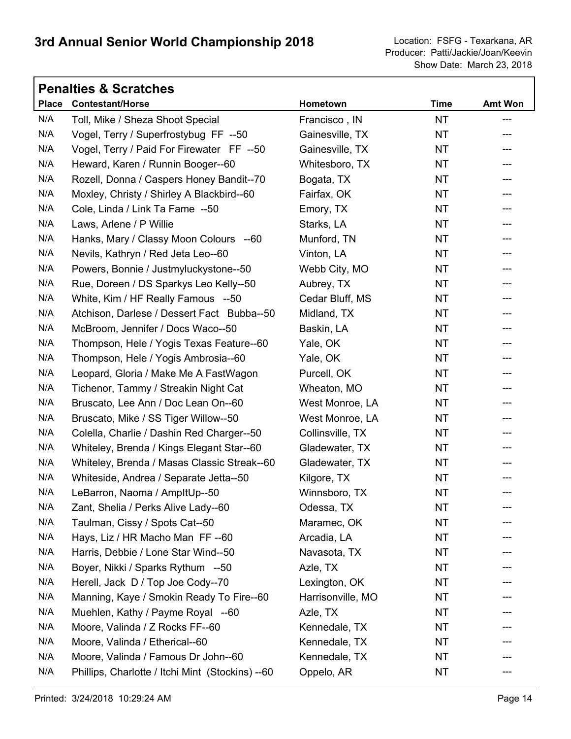Show Date: March 23, 2018 Producer: Patti/Jackie/Joan/Keevin

|              | <b>Penalties &amp; Scratches</b>                 |                   |             |                |  |  |
|--------------|--------------------------------------------------|-------------------|-------------|----------------|--|--|
| <b>Place</b> | <b>Contestant/Horse</b>                          | Hometown          | <b>Time</b> | <b>Amt Won</b> |  |  |
| N/A          | Toll, Mike / Sheza Shoot Special                 | Francisco, IN     | <b>NT</b>   | ---            |  |  |
| N/A          | Vogel, Terry / Superfrostybug FF --50            | Gainesville, TX   | <b>NT</b>   | ---            |  |  |
| N/A          | Vogel, Terry / Paid For Firewater FF --50        | Gainesville, TX   | <b>NT</b>   | ---            |  |  |
| N/A          | Heward, Karen / Runnin Booger--60                | Whitesboro, TX    | <b>NT</b>   | ---            |  |  |
| N/A          | Rozell, Donna / Caspers Honey Bandit--70         | Bogata, TX        | <b>NT</b>   |                |  |  |
| N/A          | Moxley, Christy / Shirley A Blackbird--60        | Fairfax, OK       | <b>NT</b>   | ---            |  |  |
| N/A          | Cole, Linda / Link Ta Fame --50                  | Emory, TX         | <b>NT</b>   | ---            |  |  |
| N/A          | Laws, Arlene / P Willie                          | Starks, LA        | <b>NT</b>   | ---            |  |  |
| N/A          | Hanks, Mary / Classy Moon Colours --60           | Munford, TN       | <b>NT</b>   | ---            |  |  |
| N/A          | Nevils, Kathryn / Red Jeta Leo--60               | Vinton, LA        | <b>NT</b>   | ---            |  |  |
| N/A          | Powers, Bonnie / Justmyluckystone--50            | Webb City, MO     | <b>NT</b>   |                |  |  |
| N/A          | Rue, Doreen / DS Sparkys Leo Kelly--50           | Aubrey, TX        | <b>NT</b>   | ---            |  |  |
| N/A          | White, Kim / HF Really Famous --50               | Cedar Bluff, MS   | <b>NT</b>   | ---            |  |  |
| N/A          | Atchison, Darlese / Dessert Fact Bubba--50       | Midland, TX       | <b>NT</b>   |                |  |  |
| N/A          | McBroom, Jennifer / Docs Waco--50                | Baskin, LA        | <b>NT</b>   | ---            |  |  |
| N/A          | Thompson, Hele / Yogis Texas Feature--60         | Yale, OK          | <b>NT</b>   | ---            |  |  |
| N/A          | Thompson, Hele / Yogis Ambrosia--60              | Yale, OK          | <b>NT</b>   |                |  |  |
| N/A          | Leopard, Gloria / Make Me A FastWagon            | Purcell, OK       | <b>NT</b>   | ---            |  |  |
| N/A          | Tichenor, Tammy / Streakin Night Cat             | Wheaton, MO       | <b>NT</b>   | ---            |  |  |
| N/A          | Bruscato, Lee Ann / Doc Lean On--60              | West Monroe, LA   | <b>NT</b>   |                |  |  |
| N/A          | Bruscato, Mike / SS Tiger Willow--50             | West Monroe, LA   | <b>NT</b>   | ---            |  |  |
| N/A          | Colella, Charlie / Dashin Red Charger--50        | Collinsville, TX  | NT.         | ---            |  |  |
| N/A          | Whiteley, Brenda / Kings Elegant Star--60        | Gladewater, TX    | <b>NT</b>   | ---            |  |  |
| N/A          | Whiteley, Brenda / Masas Classic Streak--60      | Gladewater, TX    | NT.         | ---            |  |  |
| N/A          | Whiteside, Andrea / Separate Jetta--50           | Kilgore, TX       | <b>NT</b>   |                |  |  |
| N/A          | LeBarron, Naoma / AmpltUp--50                    | Winnsboro, TX     | <b>NT</b>   | ---            |  |  |
| N/A          | Zant, Shelia / Perks Alive Lady--60              | Odessa, TX        | NT          |                |  |  |
| N/A          | Taulman, Cissy / Spots Cat--50                   | Maramec, OK       | <b>NT</b>   |                |  |  |
| N/A          | Hays, Liz / HR Macho Man FF--60                  | Arcadia, LA       | <b>NT</b>   |                |  |  |
| N/A          | Harris, Debbie / Lone Star Wind--50              | Navasota, TX      | <b>NT</b>   |                |  |  |
| N/A          | Boyer, Nikki / Sparks Rythum --50                | Azle, TX          | <b>NT</b>   |                |  |  |
| N/A          | Herell, Jack D / Top Joe Cody--70                | Lexington, OK     | <b>NT</b>   |                |  |  |
| N/A          | Manning, Kaye / Smokin Ready To Fire--60         | Harrisonville, MO | <b>NT</b>   |                |  |  |
| N/A          | Muehlen, Kathy / Payme Royal --60                | Azle, TX          | NT.         |                |  |  |
| N/A          | Moore, Valinda / Z Rocks FF--60                  | Kennedale, TX     | <b>NT</b>   |                |  |  |
| N/A          | Moore, Valinda / Etherical--60                   | Kennedale, TX     | <b>NT</b>   |                |  |  |
| N/A          | Moore, Valinda / Famous Dr John--60              | Kennedale, TX     | NT.         |                |  |  |
| N/A          | Phillips, Charlotte / Itchi Mint (Stockins) --60 | Oppelo, AR        | <b>NT</b>   |                |  |  |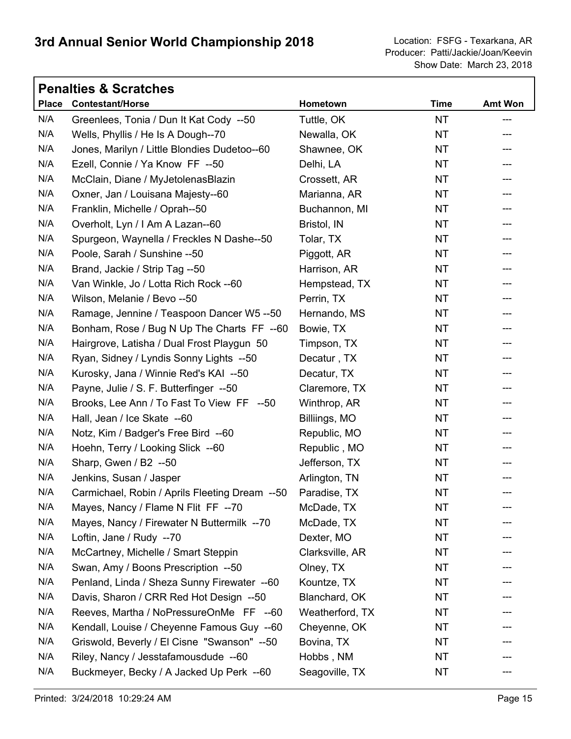Show Date: March 23, 2018 Producer: Patti/Jackie/Joan/Keevin

|              | <b>Penalties &amp; Scratches</b>               |                 |             |                |  |  |
|--------------|------------------------------------------------|-----------------|-------------|----------------|--|--|
| <b>Place</b> | <b>Contestant/Horse</b>                        | Hometown        | <b>Time</b> | <b>Amt Won</b> |  |  |
| N/A          | Greenlees, Tonia / Dun It Kat Cody --50        | Tuttle, OK      | <b>NT</b>   | ---            |  |  |
| N/A          | Wells, Phyllis / He Is A Dough--70             | Newalla, OK     | <b>NT</b>   |                |  |  |
| N/A          | Jones, Marilyn / Little Blondies Dudetoo--60   | Shawnee, OK     | <b>NT</b>   | ---            |  |  |
| N/A          | Ezell, Connie / Ya Know FF --50                | Delhi, LA       | <b>NT</b>   |                |  |  |
| N/A          | McClain, Diane / MyJetolenasBlazin             | Crossett, AR    | <b>NT</b>   |                |  |  |
| N/A          | Oxner, Jan / Louisana Majesty--60              | Marianna, AR    | <b>NT</b>   | ---            |  |  |
| N/A          | Franklin, Michelle / Oprah--50                 | Buchannon, MI   | <b>NT</b>   | ---            |  |  |
| N/A          | Overholt, Lyn / I Am A Lazan--60               | Bristol, IN     | <b>NT</b>   |                |  |  |
| N/A          | Spurgeon, Waynella / Freckles N Dashe--50      | Tolar, TX       | <b>NT</b>   | ---            |  |  |
| N/A          | Poole, Sarah / Sunshine -- 50                  | Piggott, AR     | NT.         | ---            |  |  |
| N/A          | Brand, Jackie / Strip Tag --50                 | Harrison, AR    | <b>NT</b>   |                |  |  |
| N/A          | Van Winkle, Jo / Lotta Rich Rock -- 60         | Hempstead, TX   | <b>NT</b>   | ---            |  |  |
| N/A          | Wilson, Melanie / Bevo --50                    | Perrin, TX      | <b>NT</b>   | ---            |  |  |
| N/A          | Ramage, Jennine / Teaspoon Dancer W5 --50      | Hernando, MS    | <b>NT</b>   |                |  |  |
| N/A          | Bonham, Rose / Bug N Up The Charts FF --60     | Bowie, TX       | <b>NT</b>   | ---            |  |  |
| N/A          | Hairgrove, Latisha / Dual Frost Playgun 50     | Timpson, TX     | <b>NT</b>   | ---            |  |  |
| N/A          | Ryan, Sidney / Lyndis Sonny Lights --50        | Decatur, TX     | <b>NT</b>   |                |  |  |
| N/A          | Kurosky, Jana / Winnie Red's KAI --50          | Decatur, TX     | <b>NT</b>   | ---            |  |  |
| N/A          | Payne, Julie / S. F. Butterfinger --50         | Claremore, TX   | <b>NT</b>   | ---            |  |  |
| N/A          | Brooks, Lee Ann / To Fast To View FF --50      | Winthrop, AR    | <b>NT</b>   |                |  |  |
| N/A          | Hall, Jean / Ice Skate --60                    | Billiings, MO   | <b>NT</b>   | ---            |  |  |
| N/A          | Notz, Kim / Badger's Free Bird --60            | Republic, MO    | <b>NT</b>   | ---            |  |  |
| N/A          | Hoehn, Terry / Looking Slick --60              | Republic, MO    | <b>NT</b>   | ---            |  |  |
| N/A          | Sharp, Gwen / B2 --50                          | Jefferson, TX   | NT.         | ---            |  |  |
| N/A          | Jenkins, Susan / Jasper                        | Arlington, TN   | <b>NT</b>   |                |  |  |
| N/A          | Carmichael, Robin / Aprils Fleeting Dream --50 | Paradise, TX    | <b>NT</b>   | ---            |  |  |
| N/A          | Mayes, Nancy / Flame N Flit FF --70            | McDade, TX      | NT          |                |  |  |
| N/A          | Mayes, Nancy / Firewater N Buttermilk --70     | McDade, TX      | <b>NT</b>   |                |  |  |
| N/A          | Loftin, Jane / Rudy --70                       | Dexter, MO      | <b>NT</b>   |                |  |  |
| N/A          | McCartney, Michelle / Smart Steppin            | Clarksville, AR | <b>NT</b>   |                |  |  |
| N/A          | Swan, Amy / Boons Prescription --50            | Olney, TX       | NT.         |                |  |  |
| N/A          | Penland, Linda / Sheza Sunny Firewater --60    | Kountze, TX     | <b>NT</b>   |                |  |  |
| N/A          | Davis, Sharon / CRR Red Hot Design --50        | Blanchard, OK   | <b>NT</b>   |                |  |  |
| N/A          | Reeves, Martha / NoPressureOnMe FF --60        | Weatherford, TX | NT.         |                |  |  |
| N/A          | Kendall, Louise / Cheyenne Famous Guy --60     | Cheyenne, OK    | <b>NT</b>   |                |  |  |
| N/A          | Griswold, Beverly / El Cisne "Swanson" --50    | Bovina, TX      | <b>NT</b>   |                |  |  |
| N/A          | Riley, Nancy / Jesstafamousdude --60           | Hobbs, NM       | NT.         |                |  |  |
| N/A          | Buckmeyer, Becky / A Jacked Up Perk --60       | Seagoville, TX  | <b>NT</b>   |                |  |  |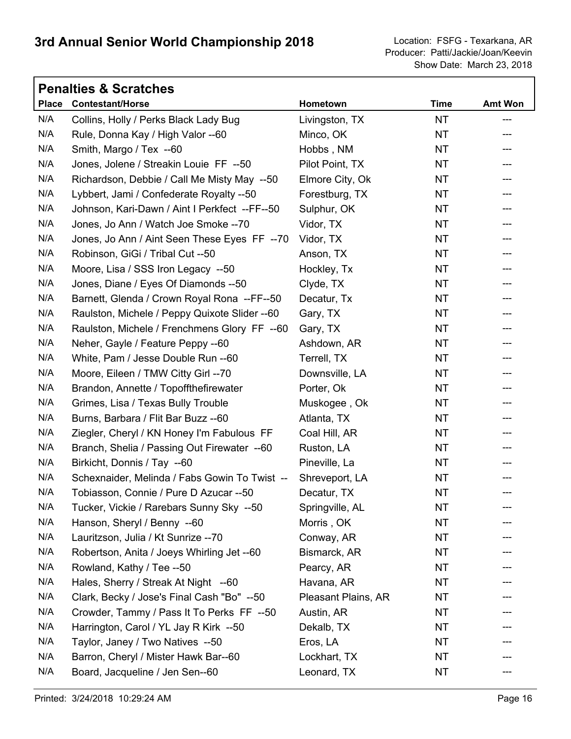| <b>Penalties &amp; Scratches</b> |                                               |                     |             |                |  |
|----------------------------------|-----------------------------------------------|---------------------|-------------|----------------|--|
|                                  | Place Contestant/Horse                        | Hometown            | <b>Time</b> | <b>Amt Won</b> |  |
| N/A                              | Collins, Holly / Perks Black Lady Bug         | Livingston, TX      | <b>NT</b>   | ---            |  |
| N/A                              | Rule, Donna Kay / High Valor --60             | Minco, OK           | <b>NT</b>   |                |  |
| N/A                              | Smith, Margo / Tex --60                       | Hobbs, NM           | <b>NT</b>   |                |  |
| N/A                              | Jones, Jolene / Streakin Louie FF --50        | Pilot Point, TX     | <b>NT</b>   |                |  |
| N/A                              | Richardson, Debbie / Call Me Misty May --50   | Elmore City, Ok     | <b>NT</b>   |                |  |
| N/A                              | Lybbert, Jami / Confederate Royalty --50      | Forestburg, TX      | NT          | ---            |  |
| N/A                              | Johnson, Kari-Dawn / Aint I Perkfect --FF--50 | Sulphur, OK         | <b>NT</b>   | ---            |  |
| N/A                              | Jones, Jo Ann / Watch Joe Smoke -- 70         | Vidor, TX           | <b>NT</b>   |                |  |
| N/A                              | Jones, Jo Ann / Aint Seen These Eyes FF --70  | Vidor, TX           | <b>NT</b>   | ---            |  |
| N/A                              | Robinson, GiGi / Tribal Cut --50              | Anson, TX           | <b>NT</b>   | ---            |  |
| N/A                              | Moore, Lisa / SSS Iron Legacy --50            | Hockley, Tx         | <b>NT</b>   |                |  |
| N/A                              | Jones, Diane / Eyes Of Diamonds --50          | Clyde, TX           | NT          | ---            |  |
| N/A                              | Barnett, Glenda / Crown Royal Rona --FF--50   | Decatur, Tx         | <b>NT</b>   | ---            |  |
| N/A                              | Raulston, Michele / Peppy Quixote Slider --60 | Gary, TX            | <b>NT</b>   |                |  |
| N/A                              | Raulston, Michele / Frenchmens Glory FF --60  | Gary, TX            | <b>NT</b>   | ---            |  |
| N/A                              | Neher, Gayle / Feature Peppy --60             | Ashdown, AR         | <b>NT</b>   | ---            |  |
| N/A                              | White, Pam / Jesse Double Run --60            | Terrell, TX         | <b>NT</b>   |                |  |
| N/A                              | Moore, Eileen / TMW Citty Girl --70           | Downsville, LA      | NT          | ---            |  |
| N/A                              | Brandon, Annette / Topoffthefirewater         | Porter, Ok          | <b>NT</b>   | ---            |  |
| N/A                              | Grimes, Lisa / Texas Bully Trouble            | Muskogee, Ok        | <b>NT</b>   |                |  |
| N/A                              | Burns, Barbara / Flit Bar Buzz --60           | Atlanta, TX         | <b>NT</b>   | ---            |  |
| N/A                              | Ziegler, Cheryl / KN Honey I'm Fabulous FF    | Coal Hill, AR       | <b>NT</b>   | ---            |  |
| N/A                              | Branch, Shelia / Passing Out Firewater --60   | Ruston, LA          | <b>NT</b>   | ---            |  |
| N/A                              | Birkicht, Donnis / Tay --60                   | Pineville, La       | NT          | ---            |  |
| N/A                              | Schexnaider, Melinda / Fabs Gowin To Twist -- | Shreveport, LA      | <b>NT</b>   |                |  |
| N/A                              | Tobiasson, Connie / Pure D Azucar --50        | Decatur, TX         | <b>NT</b>   | ---            |  |
| N/A                              | Tucker, Vickie / Rarebars Sunny Sky --50      | Springville, AL     | ΝT          |                |  |
| N/A                              | Hanson, Sheryl / Benny --60                   | Morris, OK          | NT          |                |  |
| N/A                              | Lauritzson, Julia / Kt Sunrize -- 70          | Conway, AR          | NT          |                |  |
| N/A                              | Robertson, Anita / Joeys Whirling Jet --60    | Bismarck, AR        | NT          |                |  |
| N/A                              | Rowland, Kathy / Tee --50                     | Pearcy, AR          | NT          |                |  |
| N/A                              | Hales, Sherry / Streak At Night --60          | Havana, AR          | <b>NT</b>   |                |  |
| N/A                              | Clark, Becky / Jose's Final Cash "Bo" --50    | Pleasant Plains, AR | NT          |                |  |
| N/A                              | Crowder, Tammy / Pass It To Perks FF --50     | Austin, AR          | NT          |                |  |
| N/A                              | Harrington, Carol / YL Jay R Kirk --50        | Dekalb, TX          | NT          |                |  |
| N/A                              | Taylor, Janey / Two Natives --50              | Eros, LA            | NT          |                |  |
| N/A                              | Barron, Cheryl / Mister Hawk Bar--60          | Lockhart, TX        | NT.         |                |  |
| N/A                              | Board, Jacqueline / Jen Sen--60               | Leonard, TX         | NT          |                |  |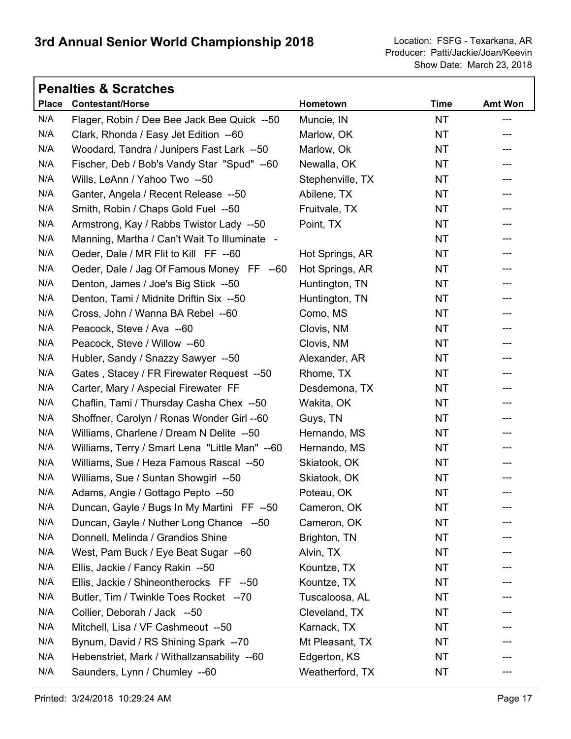٦

|              | <b>Penalties &amp; Scratches</b>               |                  |             |                |  |  |
|--------------|------------------------------------------------|------------------|-------------|----------------|--|--|
| <b>Place</b> | <b>Contestant/Horse</b>                        | Hometown         | <b>Time</b> | <b>Amt Won</b> |  |  |
| N/A          | Flager, Robin / Dee Bee Jack Bee Quick --50    | Muncie, IN       | <b>NT</b>   | ---            |  |  |
| N/A          | Clark, Rhonda / Easy Jet Edition --60          | Marlow, OK       | <b>NT</b>   | ---            |  |  |
| N/A          | Woodard, Tandra / Junipers Fast Lark --50      | Marlow, Ok       | NT.         | ---            |  |  |
| N/A          | Fischer, Deb / Bob's Vandy Star "Spud" --60    | Newalla, OK      | NT.         |                |  |  |
| N/A          | Wills, LeAnn / Yahoo Two --50                  | Stephenville, TX | <b>NT</b>   |                |  |  |
| N/A          | Ganter, Angela / Recent Release --50           | Abilene, TX      | NT          |                |  |  |
| N/A          | Smith, Robin / Chaps Gold Fuel --50            | Fruitvale, TX    | <b>NT</b>   | ---            |  |  |
| N/A          | Armstrong, Kay / Rabbs Twistor Lady --50       | Point, TX        | <b>NT</b>   | ---            |  |  |
| N/A          | Manning, Martha / Can't Wait To Illuminate -   |                  | NT          | ---            |  |  |
| N/A          | Oeder, Dale / MR Flit to Kill FF --60          | Hot Springs, AR  | NT.         | ---            |  |  |
| N/A          | Oeder, Dale / Jag Of Famous Money FF --60      | Hot Springs, AR  | <b>NT</b>   |                |  |  |
| N/A          | Denton, James / Joe's Big Stick --50           | Huntington, TN   | NT          | ---            |  |  |
| N/A          | Denton, Tami / Midnite Driftin Six --50        | Huntington, TN   | NT.         | ---            |  |  |
| N/A          | Cross, John / Wanna BA Rebel --60              | Como, MS         | <b>NT</b>   |                |  |  |
| N/A          | Peacock, Steve / Ava --60                      | Clovis, NM       | NT          | ---            |  |  |
| N/A          | Peacock, Steve / Willow --60                   | Clovis, NM       | <b>NT</b>   | ---            |  |  |
| N/A          | Hubler, Sandy / Snazzy Sawyer --50             | Alexander, AR    | <b>NT</b>   |                |  |  |
| N/A          | Gates, Stacey / FR Firewater Request --50      | Rhome, TX        | NT          | ---            |  |  |
| N/A          | Carter, Mary / Aspecial Firewater FF           | Desdemona, TX    | NT.         |                |  |  |
| N/A          | Chaflin, Tami / Thursday Casha Chex --50       | Wakita, OK       | <b>NT</b>   |                |  |  |
| N/A          | Shoffner, Carolyn / Ronas Wonder Girl --60     | Guys, TN         | NT          | ---            |  |  |
| N/A          | Williams, Charlene / Dream N Delite --50       | Hernando, MS     | <b>NT</b>   | ---            |  |  |
| N/A          | Williams, Terry / Smart Lena "Little Man" --60 | Hernando, MS     | NT          | ---            |  |  |
| N/A          | Williams, Sue / Heza Famous Rascal --50        | Skiatook, OK     | NT          | ---            |  |  |
| N/A          | Williams, Sue / Suntan Showgirl --50           | Skiatook, OK     | NT.         |                |  |  |
| N/A          | Adams, Angie / Gottago Pepto --50              | Poteau, OK       | NT          | ---            |  |  |
| N/A          | Duncan, Gayle / Bugs In My Martini FF --50     | Cameron, OK      | NT          |                |  |  |
| N/A          | Duncan, Gayle / Nuther Long Chance --50        | Cameron, OK      | <b>NT</b>   |                |  |  |
| N/A          | Donnell, Melinda / Grandios Shine              | Brighton, TN     | ΝT          |                |  |  |
| N/A          | West, Pam Buck / Eye Beat Sugar --60           | Alvin, TX        | ΝT          |                |  |  |
| N/A          | Ellis, Jackie / Fancy Rakin --50               | Kountze, TX      | NT          |                |  |  |
| N/A          | Ellis, Jackie / Shineontherocks FF --50        | Kountze, TX      | NT          |                |  |  |
| N/A          | Butler, Tim / Twinkle Toes Rocket --70         | Tuscaloosa, AL   | NT          |                |  |  |
| N/A          | Collier, Deborah / Jack --50                   | Cleveland, TX    | NT.         |                |  |  |
| N/A          | Mitchell, Lisa / VF Cashmeout --50             | Karnack, TX      | NT          |                |  |  |
| N/A          | Bynum, David / RS Shining Spark -- 70          | Mt Pleasant, TX  | ΝT          |                |  |  |
| N/A          | Hebenstriet, Mark / Withallzansability --60    | Edgerton, KS     | NT          |                |  |  |
| N/A          | Saunders, Lynn / Chumley --60                  | Weatherford, TX  | NT          |                |  |  |